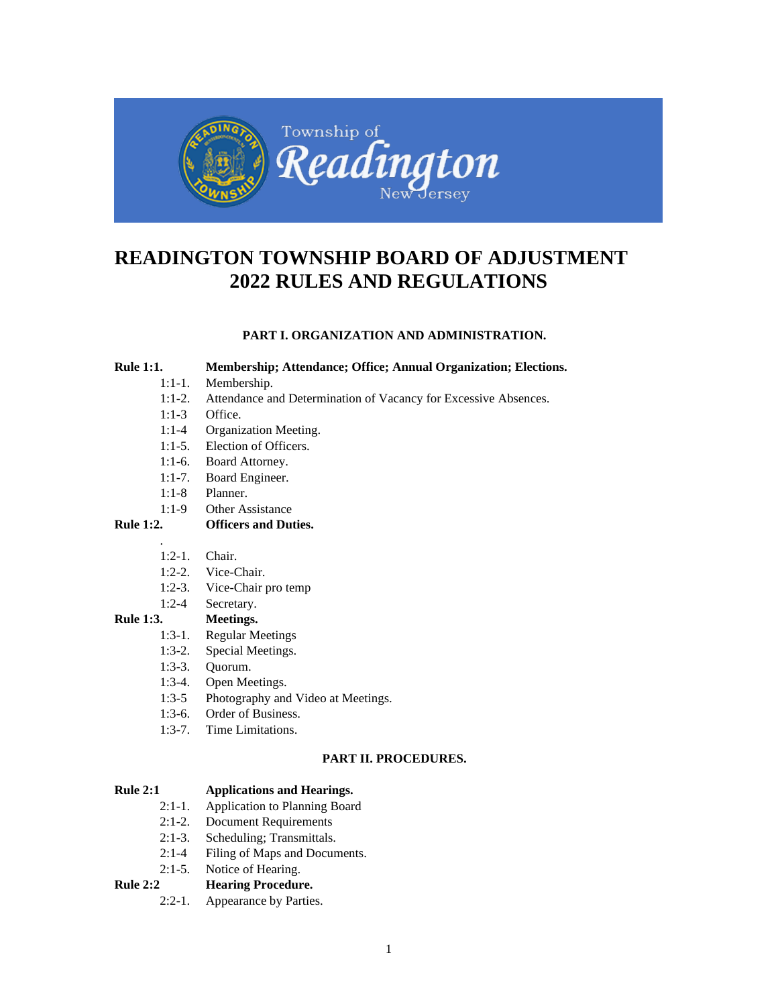

# **READINGTON TOWNSHIP BOARD OF ADJUSTMENT 2022 RULES AND REGULATIONS**

# **PART I. ORGANIZATION AND ADMINISTRATION.**

## **Rule 1:1. Membership; Attendance; Office; Annual Organization; Elections.**

- 1:1-1. Membership.
- 1:1-2. Attendance and Determination of Vacancy for Excessive Absences.
- 1:1-3 Office.
- 1:1-4 Organization Meeting.
- 1:1-5. Election of Officers.
- 1:1-6. Board Attorney.
- 1:1-7. Board Engineer.
- 1:1-8 Planner.
- 1:1-9 Other Assistance

# **Rule 1:2. Officers and Duties.**

- 1:2-1. Chair.
- 1:2-2. Vice-Chair.
- 1:2-3. Vice-Chair pro temp
- 1:2-4 Secretary.

# **Rule 1:3. Meetings.**

.

- 1:3-1. Regular Meetings
- 1:3-2. Special Meetings.
- 1:3-3. Quorum.
- 1:3-4. Open Meetings.
- 1:3-5 Photography and Video at Meetings.
- 1:3-6. Order of Business.
- 1:3-7. Time Limitations.

# **PART II. PROCEDURES.**

# **Rule 2:1 Applications and Hearings.**

- 2:1-1. Application to Planning Board
- 2:1-2. Document Requirements
- 2:1-3. Scheduling; Transmittals.
- 2:1-4 Filing of Maps and Documents.
- 2:1-5. Notice of Hearing.

# **Rule 2:2 Hearing Procedure.**

2:2-1. Appearance by Parties.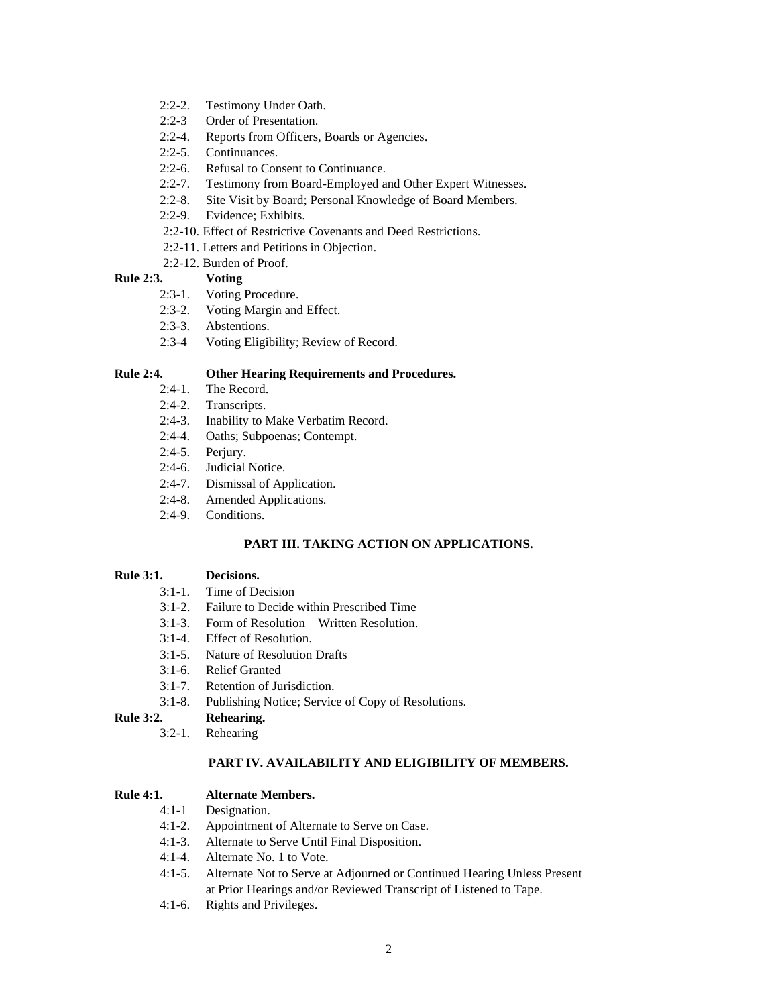- 2:2-2. Testimony Under Oath.
- 2:2-3 Order of Presentation.
- 2:2-4. Reports from Officers, Boards or Agencies.
- 2:2-5. Continuances.
- 2:2-6. Refusal to Consent to Continuance.
- 2:2-7. Testimony from Board-Employed and Other Expert Witnesses.
- 2:2-8. Site Visit by Board; Personal Knowledge of Board Members.
- 2:2-9. Evidence; Exhibits.
- 2:2-10. Effect of Restrictive Covenants and Deed Restrictions.
- 2:2-11. Letters and Petitions in Objection.
- 2:2-12. Burden of Proof.

# **Rule 2:3. Voting**

- 2:3-1. Voting Procedure.
- 2:3-2. Voting Margin and Effect.
- 2:3-3. Abstentions.
- 2:3-4 Voting Eligibility; Review of Record.

# **Rule 2:4. Other Hearing Requirements and Procedures.**

- 2:4-1. The Record.
- 2:4-2. Transcripts.
- 2:4-3. Inability to Make Verbatim Record.
- 2:4-4. Oaths; Subpoenas; Contempt.
- 2:4-5. Perjury.
- 2:4-6. Judicial Notice.
- 2:4-7. Dismissal of Application.
- 2:4-8. Amended Applications.
- 2:4-9. Conditions.

# **PART III. TAKING ACTION ON APPLICATIONS.**

# **Rule 3:1. Decisions.**

- 3:1-1. Time of Decision
- 3:1-2. Failure to Decide within Prescribed Time
- 3:1-3. Form of Resolution Written Resolution.
- 3:1-4. Effect of Resolution.
- 3:1-5. Nature of Resolution Drafts
- 3:1-6. Relief Granted
- 3:1-7. Retention of Jurisdiction.
- 3:1-8. Publishing Notice; Service of Copy of Resolutions.

# **Rule 3:2. Rehearing.**

3:2-1. Rehearing

# **PART IV. AVAILABILITY AND ELIGIBILITY OF MEMBERS.**

# **Rule 4:1. Alternate Members.**

- 4:1-1 Designation.
- 4:1-2. Appointment of Alternate to Serve on Case.
- 4:1-3. Alternate to Serve Until Final Disposition.
- 4:1-4. Alternate No. 1 to Vote.
- 4:1-5. Alternate Not to Serve at Adjourned or Continued Hearing Unless Present at Prior Hearings and/or Reviewed Transcript of Listened to Tape.
- 4:1-6. Rights and Privileges.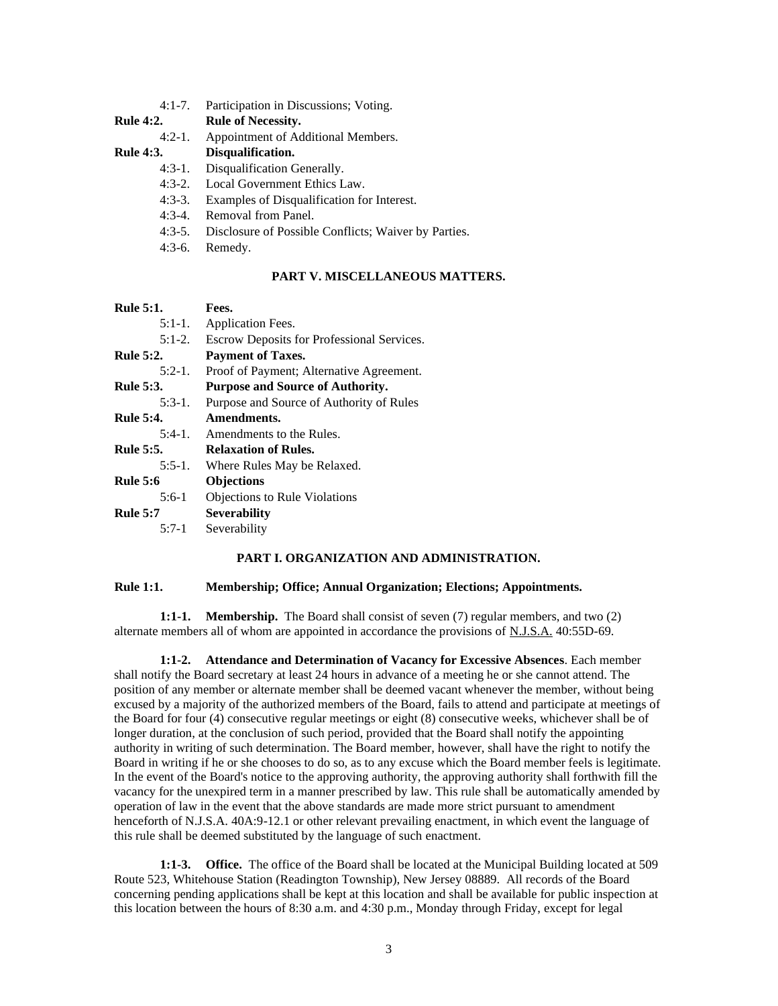- 4:1-7. Participation in Discussions; Voting.
- **Rule 4:2. Rule of Necessity.** 
	- 4:2-1. Appointment of Additional Members.
- **Rule 4:3. Disqualification.**
	- 4:3-1. Disqualification Generally.
	- 4:3-2. Local Government Ethics Law.
	- 4:3-3. Examples of Disqualification for Interest.
	- 4:3-4. Removal from Panel.
	- 4:3-5. Disclosure of Possible Conflicts; Waiver by Parties.
	- 4:3-6. Remedy.

## **PART V. MISCELLANEOUS MATTERS.**

| <b>Rule 5:1.</b> | Fees.                                      |
|------------------|--------------------------------------------|
| $5:1-1.$         | Application Fees.                          |
| $5:1-2.$         | Escrow Deposits for Professional Services. |
| <b>Rule 5:2.</b> | <b>Payment of Taxes.</b>                   |
| $5:2-1$ .        | Proof of Payment; Alternative Agreement.   |
| <b>Rule 5:3.</b> | <b>Purpose and Source of Authority.</b>    |
| $5:3-1$ .        | Purpose and Source of Authority of Rules   |
| <b>Rule 5:4.</b> | Amendments.                                |
| $5:4-1$ .        | Amendments to the Rules.                   |
| <b>Rule 5:5.</b> | <b>Relaxation of Rules.</b>                |
| $5:5-1$ .        | Where Rules May be Relaxed.                |
| <b>Rule 5:6</b>  | <b>Objections</b>                          |
| $5:6-1$          | Objections to Rule Violations              |
| <b>Rule 5:7</b>  | <b>Severability</b>                        |
| $5:7-1$          | Severability                               |

## **PART I. ORGANIZATION AND ADMINISTRATION.**

### **Rule 1:1. Membership; Office; Annual Organization; Elections; Appointments.**

**1:1-1. Membership.** The Board shall consist of seven (7) regular members, and two (2) alternate members all of whom are appointed in accordance the provisions of N.J.S.A. 40:55D-69.

**1:1-2. Attendance and Determination of Vacancy for Excessive Absences**. Each member shall notify the Board secretary at least 24 hours in advance of a meeting he or she cannot attend. The position of any member or alternate member shall be deemed vacant whenever the member, without being excused by a majority of the authorized members of the Board, fails to attend and participate at meetings of the Board for four (4) consecutive regular meetings or eight (8) consecutive weeks, whichever shall be of longer duration, at the conclusion of such period, provided that the Board shall notify the appointing authority in writing of such determination. The Board member, however, shall have the right to notify the Board in writing if he or she chooses to do so, as to any excuse which the Board member feels is legitimate. In the event of the Board's notice to the approving authority, the approving authority shall forthwith fill the vacancy for the unexpired term in a manner prescribed by law. This rule shall be automatically amended by operation of law in the event that the above standards are made more strict pursuant to amendment henceforth of N.J.S.A. 40A:9-12.1 or other relevant prevailing enactment, in which event the language of this rule shall be deemed substituted by the language of such enactment.

**1:1-3. Office.** The office of the Board shall be located at the Municipal Building located at 509 Route 523, Whitehouse Station (Readington Township), New Jersey 08889. All records of the Board concerning pending applications shall be kept at this location and shall be available for public inspection at this location between the hours of 8:30 a.m. and 4:30 p.m., Monday through Friday, except for legal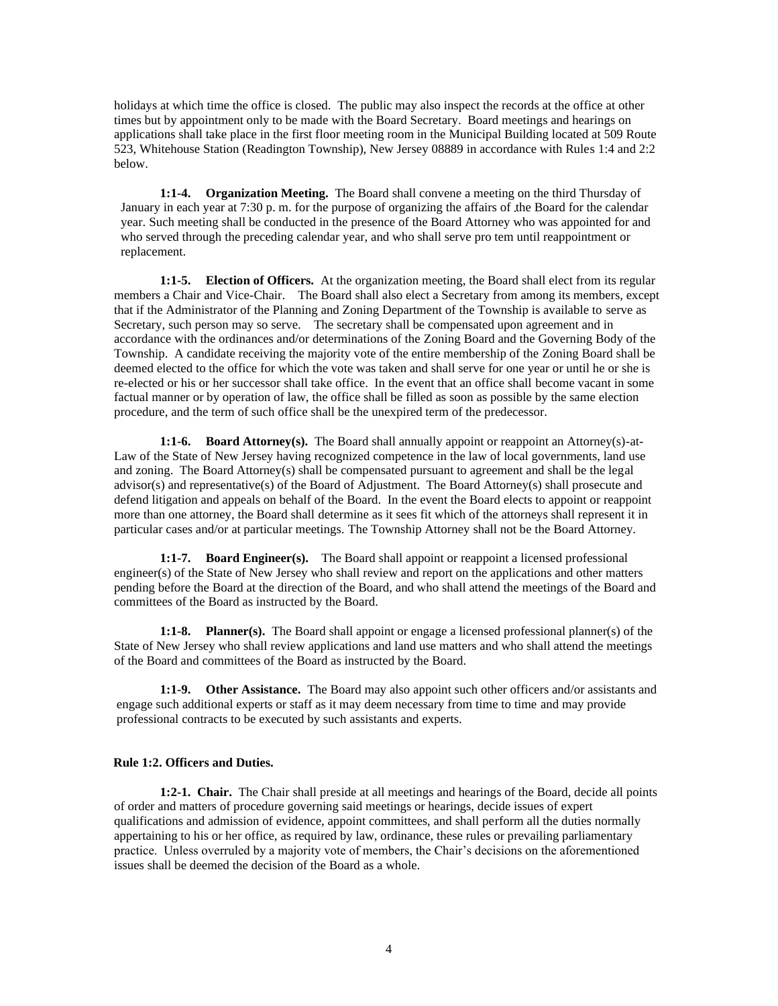holidays at which time the office is closed. The public may also inspect the records at the office at other times but by appointment only to be made with the Board Secretary. Board meetings and hearings on applications shall take place in the first floor meeting room in the Municipal Building located at 509 Route 523, Whitehouse Station (Readington Township), New Jersey 08889 in accordance with Rules 1:4 and 2:2 below.

**1:1-4. Organization Meeting.** The Board shall convene a meeting on the third Thursday of January in each year at 7:30 p. m. for the purpose of organizing the affairs of the Board for the calendar year. Such meeting shall be conducted in the presence of the Board Attorney who was appointed for and who served through the preceding calendar year, and who shall serve pro tem until reappointment or replacement.

**1:1-5. Election of Officers.** At the organization meeting, the Board shall elect from its regular members a Chair and Vice-Chair. The Board shall also elect a Secretary from among its members, except that if the Administrator of the Planning and Zoning Department of the Township is available to serve as Secretary, such person may so serve. The secretary shall be compensated upon agreement and in accordance with the ordinances and/or determinations of the Zoning Board and the Governing Body of the Township. A candidate receiving the majority vote of the entire membership of the Zoning Board shall be deemed elected to the office for which the vote was taken and shall serve for one year or until he or she is re-elected or his or her successor shall take office. In the event that an office shall become vacant in some factual manner or by operation of law, the office shall be filled as soon as possible by the same election procedure, and the term of such office shall be the unexpired term of the predecessor.

**1:1-6. Board Attorney(s).** The Board shall annually appoint or reappoint an Attorney(s)-at-Law of the State of New Jersey having recognized competence in the law of local governments, land use and zoning. The Board Attorney(s) shall be compensated pursuant to agreement and shall be the legal advisor(s) and representative(s) of the Board of Adjustment. The Board Attorney(s) shall prosecute and defend litigation and appeals on behalf of the Board. In the event the Board elects to appoint or reappoint more than one attorney, the Board shall determine as it sees fit which of the attorneys shall represent it in particular cases and/or at particular meetings. The Township Attorney shall not be the Board Attorney.

**1:1-7. Board Engineer(s).** The Board shall appoint or reappoint a licensed professional engineer(s) of the State of New Jersey who shall review and report on the applications and other matters pending before the Board at the direction of the Board, and who shall attend the meetings of the Board and committees of the Board as instructed by the Board.

**1:1-8. Planner(s).** The Board shall appoint or engage a licensed professional planner(s) of the State of New Jersey who shall review applications and land use matters and who shall attend the meetings of the Board and committees of the Board as instructed by the Board.

**1:1-9. Other Assistance.** The Board may also appoint such other officers and/or assistants and engage such additional experts or staff as it may deem necessary from time to time and may provide professional contracts to be executed by such assistants and experts.

## **Rule 1:2. Officers and Duties.**

**1:2-1. Chair.** The Chair shall preside at all meetings and hearings of the Board, decide all points of order and matters of procedure governing said meetings or hearings, decide issues of expert qualifications and admission of evidence, appoint committees, and shall perform all the duties normally appertaining to his or her office, as required by law, ordinance, these rules or prevailing parliamentary practice. Unless overruled by a majority vote of members, the Chair's decisions on the aforementioned issues shall be deemed the decision of the Board as a whole.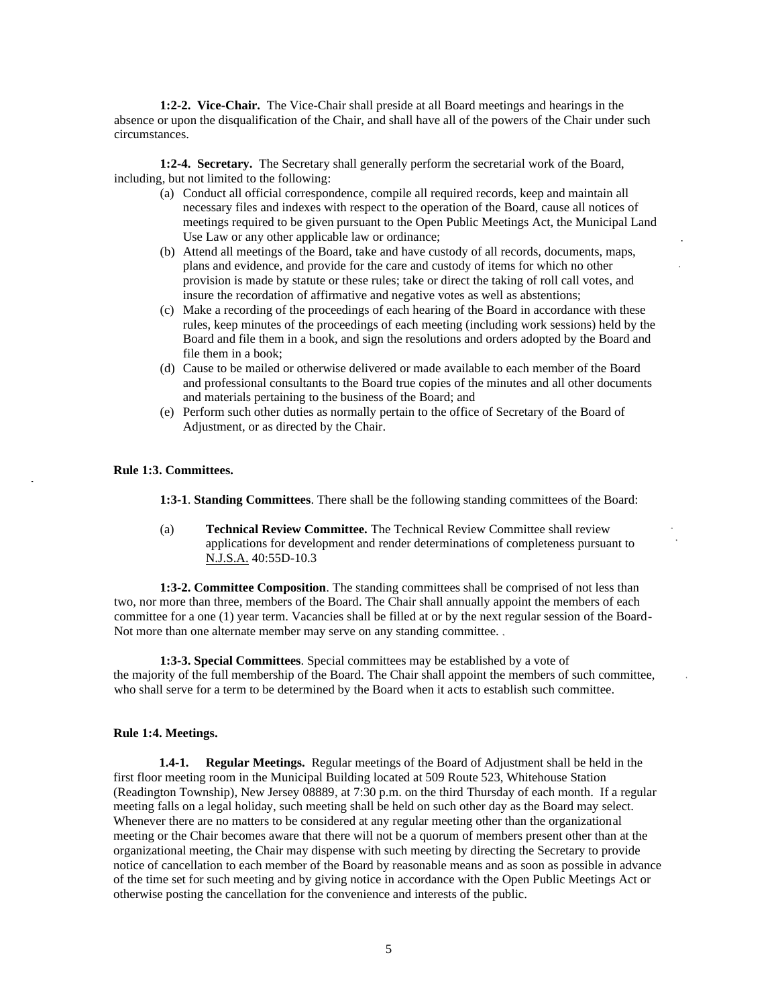**1:2-2. Vice-Chair.** The Vice-Chair shall preside at all Board meetings and hearings in the absence or upon the disqualification of the Chair, and shall have all of the powers of the Chair under such circumstances.

**1:2-4. Secretary.** The Secretary shall generally perform the secretarial work of the Board, including, but not limited to the following:

- (a) Conduct all official correspondence, compile all required records, keep and maintain all necessary files and indexes with respect to the operation of the Board, cause all notices of meetings required to be given pursuant to the Open Public Meetings Act, the Municipal Land Use Law or any other applicable law or ordinance;
- (b) Attend all meetings of the Board, take and have custody of all records, documents, maps, plans and evidence, and provide for the care and custody of items for which no other provision is made by statute or these rules; take or direct the taking of roll call votes, and insure the recordation of affirmative and negative votes as well as abstentions;
- (c) Make a recording of the proceedings of each hearing of the Board in accordance with these rules, keep minutes of the proceedings of each meeting (including work sessions) held by the Board and file them in a book, and sign the resolutions and orders adopted by the Board and file them in a book;
- (d) Cause to be mailed or otherwise delivered or made available to each member of the Board and professional consultants to the Board true copies of the minutes and all other documents and materials pertaining to the business of the Board; and
- (e) Perform such other duties as normally pertain to the office of Secretary of the Board of Adjustment, or as directed by the Chair.

## **Rule 1:3. Committees.**

**1:3-1**. **Standing Committees**. There shall be the following standing committees of the Board:

(a) **Technical Review Committee.** The Technical Review Committee shall review applications for development and render determinations of completeness pursuant to N.J.S.A. 40:55D-10.3

**1:3-2. Committee Composition**. The standing committees shall be comprised of not less than two, nor more than three, members of the Board. The Chair shall annually appoint the members of each committee for a one (1) year term. Vacancies shall be filled at or by the next regular session of the Board-Not more than one alternate member may serve on any standing committee.

**1:3-3. Special Committees**. Special committees may be established by a vote of the majority of the full membership of the Board. The Chair shall appoint the members of such committee, who shall serve for a term to be determined by the Board when it acts to establish such committee.

## **Rule 1:4. Meetings.**

**1.4-1. Regular Meetings.** Regular meetings of the Board of Adjustment shall be held in the first floor meeting room in the Municipal Building located at 509 Route 523, Whitehouse Station (Readington Township), New Jersey 08889, at 7:30 p.m. on the third Thursday of each month. If a regular meeting falls on a legal holiday, such meeting shall be held on such other day as the Board may select. Whenever there are no matters to be considered at any regular meeting other than the organizational meeting or the Chair becomes aware that there will not be a quorum of members present other than at the organizational meeting, the Chair may dispense with such meeting by directing the Secretary to provide notice of cancellation to each member of the Board by reasonable means and as soon as possible in advance of the time set for such meeting and by giving notice in accordance with the Open Public Meetings Act or otherwise posting the cancellation for the convenience and interests of the public.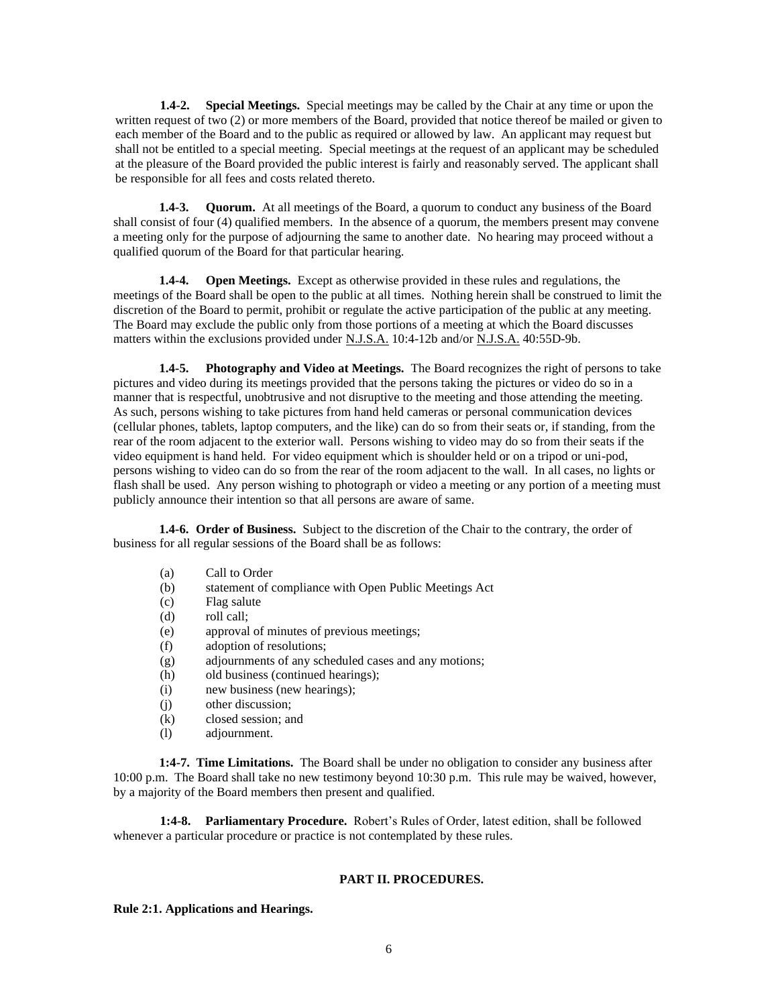**1.4-2. Special Meetings.** Special meetings may be called by the Chair at any time or upon the written request of two (2) or more members of the Board, provided that notice thereof be mailed or given to each member of the Board and to the public as required or allowed by law. An applicant may request but shall not be entitled to a special meeting. Special meetings at the request of an applicant may be scheduled at the pleasure of the Board provided the public interest is fairly and reasonably served. The applicant shall be responsible for all fees and costs related thereto.

**1.4-3. Quorum.** At all meetings of the Board, a quorum to conduct any business of the Board shall consist of four (4) qualified members. In the absence of a quorum, the members present may convene a meeting only for the purpose of adjourning the same to another date. No hearing may proceed without a qualified quorum of the Board for that particular hearing.

**1.4-4. Open Meetings.** Except as otherwise provided in these rules and regulations, the meetings of the Board shall be open to the public at all times. Nothing herein shall be construed to limit the discretion of the Board to permit, prohibit or regulate the active participation of the public at any meeting. The Board may exclude the public only from those portions of a meeting at which the Board discusses matters within the exclusions provided under N.J.S.A. 10:4-12b and/or N.J.S.A. 40:55D-9b.

**1.4-5. Photography and Video at Meetings.** The Board recognizes the right of persons to take pictures and video during its meetings provided that the persons taking the pictures or video do so in a manner that is respectful, unobtrusive and not disruptive to the meeting and those attending the meeting. As such, persons wishing to take pictures from hand held cameras or personal communication devices (cellular phones, tablets, laptop computers, and the like) can do so from their seats or, if standing, from the rear of the room adjacent to the exterior wall. Persons wishing to video may do so from their seats if the video equipment is hand held. For video equipment which is shoulder held or on a tripod or uni-pod, persons wishing to video can do so from the rear of the room adjacent to the wall. In all cases, no lights or flash shall be used. Any person wishing to photograph or video a meeting or any portion of a meeting must publicly announce their intention so that all persons are aware of same.

**1.4-6. Order of Business.** Subject to the discretion of the Chair to the contrary, the order of business for all regular sessions of the Board shall be as follows:

- (a) Call to Order
- (b) statement of compliance with Open Public Meetings Act
- (c) Flag salute
- (d) roll call;
- (e) approval of minutes of previous meetings;
- (f) adoption of resolutions;
- (g) adjournments of any scheduled cases and any motions;
- (h) old business (continued hearings);
- (i) new business (new hearings);
- (j) other discussion;
- (k) closed session; and
- (l) adjournment.

**1:4-7. Time Limitations.** The Board shall be under no obligation to consider any business after 10:00 p.m. The Board shall take no new testimony beyond 10:30 p.m. This rule may be waived, however, by a majority of the Board members then present and qualified.

**1:4-8. Parliamentary Procedure.** Robert's Rules of Order, latest edition, shall be followed whenever a particular procedure or practice is not contemplated by these rules.

#### **PART II. PROCEDURES.**

#### **Rule 2:1. Applications and Hearings.**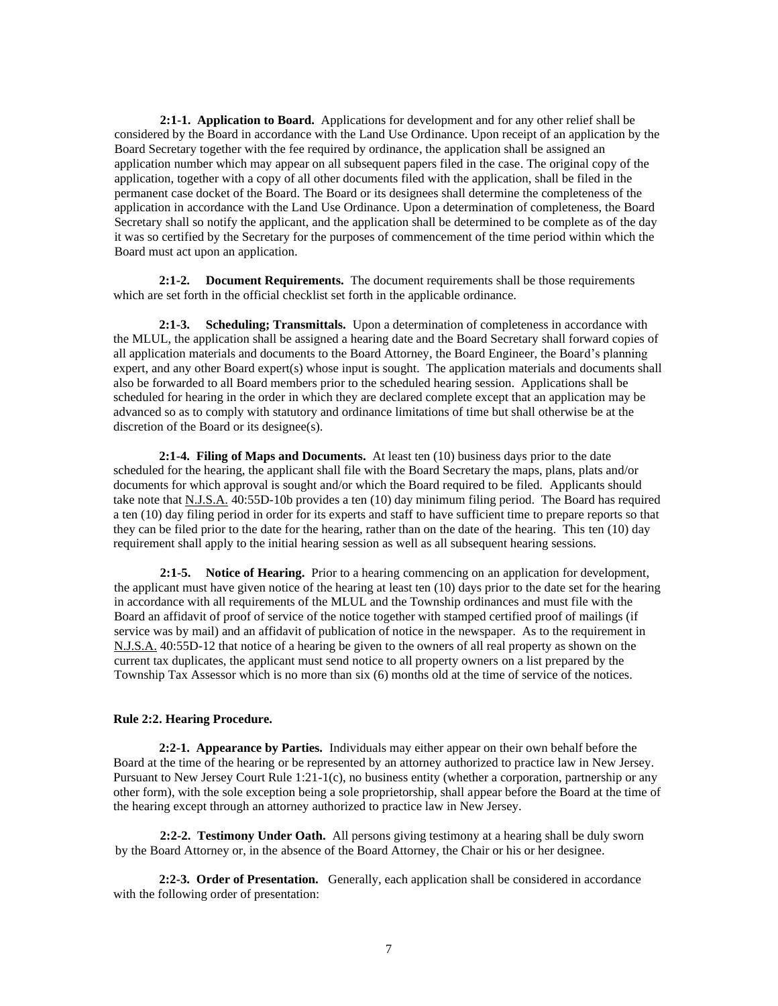**2:1-1. Application to Board.** Applications for development and for any other relief shall be considered by the Board in accordance with the Land Use Ordinance. Upon receipt of an application by the Board Secretary together with the fee required by ordinance, the application shall be assigned an application number which may appear on all subsequent papers filed in the case. The original copy of the application, together with a copy of all other documents filed with the application, shall be filed in the permanent case docket of the Board. The Board or its designees shall determine the completeness of the application in accordance with the Land Use Ordinance. Upon a determination of completeness, the Board Secretary shall so notify the applicant, and the application shall be determined to be complete as of the day it was so certified by the Secretary for the purposes of commencement of the time period within which the Board must act upon an application.

**2:1-2. Document Requirements.** The document requirements shall be those requirements which are set forth in the official checklist set forth in the applicable ordinance.

**2:1-3. Scheduling; Transmittals.** Upon a determination of completeness in accordance with the MLUL, the application shall be assigned a hearing date and the Board Secretary shall forward copies of all application materials and documents to the Board Attorney, the Board Engineer, the Board's planning expert, and any other Board expert(s) whose input is sought. The application materials and documents shall also be forwarded to all Board members prior to the scheduled hearing session. Applications shall be scheduled for hearing in the order in which they are declared complete except that an application may be advanced so as to comply with statutory and ordinance limitations of time but shall otherwise be at the discretion of the Board or its designee(s).

**2:1-4. Filing of Maps and Documents.** At least ten (10) business days prior to the date scheduled for the hearing, the applicant shall file with the Board Secretary the maps, plans, plats and/or documents for which approval is sought and/or which the Board required to be filed. Applicants should take note that N.J.S.A. 40:55D-10b provides a ten (10) day minimum filing period. The Board has required a ten (10) day filing period in order for its experts and staff to have sufficient time to prepare reports so that they can be filed prior to the date for the hearing, rather than on the date of the hearing. This ten (10) day requirement shall apply to the initial hearing session as well as all subsequent hearing sessions.

**2:1-5. Notice of Hearing.** Prior to a hearing commencing on an application for development, the applicant must have given notice of the hearing at least ten (10) days prior to the date set for the hearing in accordance with all requirements of the MLUL and the Township ordinances and must file with the Board an affidavit of proof of service of the notice together with stamped certified proof of mailings (if service was by mail) and an affidavit of publication of notice in the newspaper. As to the requirement in N.J.S.A. 40:55D-12 that notice of a hearing be given to the owners of all real property as shown on the current tax duplicates, the applicant must send notice to all property owners on a list prepared by the Township Tax Assessor which is no more than six (6) months old at the time of service of the notices.

## **Rule 2:2. Hearing Procedure.**

**2:2-1. Appearance by Parties.** Individuals may either appear on their own behalf before the Board at the time of the hearing or be represented by an attorney authorized to practice law in New Jersey. Pursuant to New Jersey Court Rule 1:21-1(c), no business entity (whether a corporation, partnership or any other form), with the sole exception being a sole proprietorship, shall appear before the Board at the time of the hearing except through an attorney authorized to practice law in New Jersey.

**2:2-2. Testimony Under Oath.** All persons giving testimony at a hearing shall be duly sworn by the Board Attorney or, in the absence of the Board Attorney, the Chair or his or her designee.

**2:2-3. Order of Presentation.** Generally, each application shall be considered in accordance with the following order of presentation: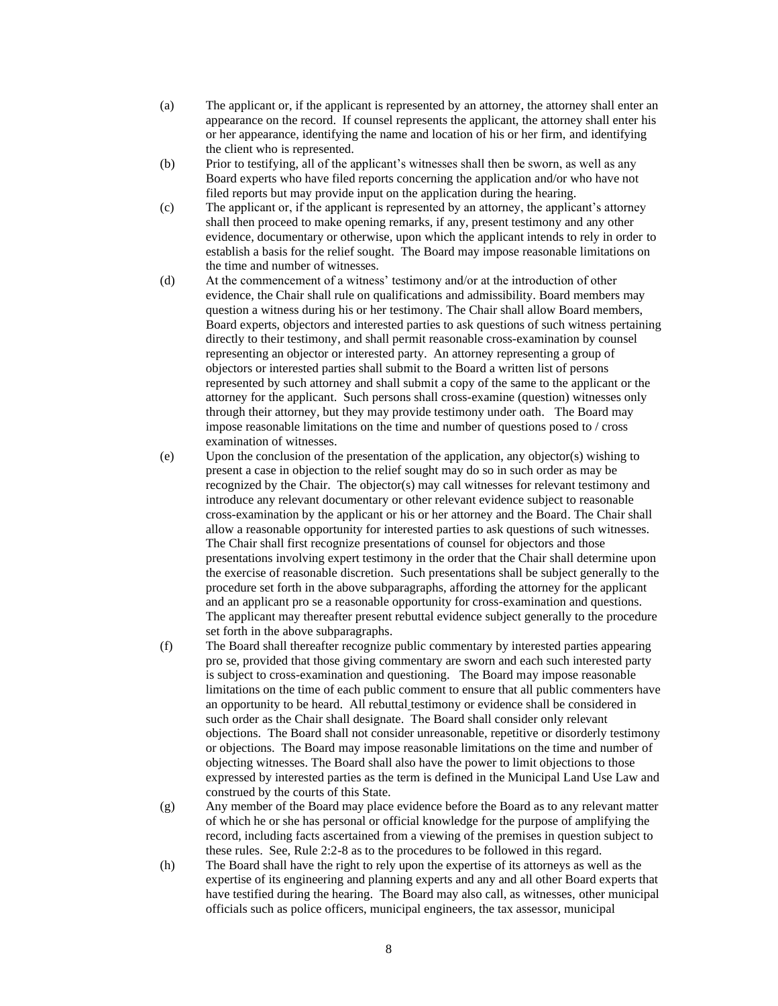- (a) The applicant or, if the applicant is represented by an attorney, the attorney shall enter an appearance on the record. If counsel represents the applicant, the attorney shall enter his or her appearance, identifying the name and location of his or her firm, and identifying the client who is represented.
- (b) Prior to testifying, all of the applicant's witnesses shall then be sworn, as well as any Board experts who have filed reports concerning the application and/or who have not filed reports but may provide input on the application during the hearing.
- (c) The applicant or, if the applicant is represented by an attorney, the applicant's attorney shall then proceed to make opening remarks, if any, present testimony and any other evidence, documentary or otherwise, upon which the applicant intends to rely in order to establish a basis for the relief sought. The Board may impose reasonable limitations on the time and number of witnesses.
- (d) At the commencement of a witness' testimony and/or at the introduction of other evidence, the Chair shall rule on qualifications and admissibility. Board members may question a witness during his or her testimony. The Chair shall allow Board members, Board experts, objectors and interested parties to ask questions of such witness pertaining directly to their testimony, and shall permit reasonable cross-examination by counsel representing an objector or interested party. An attorney representing a group of objectors or interested parties shall submit to the Board a written list of persons represented by such attorney and shall submit a copy of the same to the applicant or the attorney for the applicant. Such persons shall cross-examine (question) witnesses only through their attorney, but they may provide testimony under oath. The Board may impose reasonable limitations on the time and number of questions posed to / cross examination of witnesses.
- (e) Upon the conclusion of the presentation of the application, any objector(s) wishing to present a case in objection to the relief sought may do so in such order as may be recognized by the Chair. The objector(s) may call witnesses for relevant testimony and introduce any relevant documentary or other relevant evidence subject to reasonable cross-examination by the applicant or his or her attorney and the Board. The Chair shall allow a reasonable opportunity for interested parties to ask questions of such witnesses. The Chair shall first recognize presentations of counsel for objectors and those presentations involving expert testimony in the order that the Chair shall determine upon the exercise of reasonable discretion. Such presentations shall be subject generally to the procedure set forth in the above subparagraphs, affording the attorney for the applicant and an applicant pro se a reasonable opportunity for cross-examination and questions. The applicant may thereafter present rebuttal evidence subject generally to the procedure set forth in the above subparagraphs.
- (f) The Board shall thereafter recognize public commentary by interested parties appearing pro se, provided that those giving commentary are sworn and each such interested party is subject to cross-examination and questioning. The Board may impose reasonable limitations on the time of each public comment to ensure that all public commenters have an opportunity to be heard. All rebuttal testimony or evidence shall be considered in such order as the Chair shall designate. The Board shall consider only relevant objections. The Board shall not consider unreasonable, repetitive or disorderly testimony or objections. The Board may impose reasonable limitations on the time and number of objecting witnesses. The Board shall also have the power to limit objections to those expressed by interested parties as the term is defined in the Municipal Land Use Law and construed by the courts of this State.
- (g) Any member of the Board may place evidence before the Board as to any relevant matter of which he or she has personal or official knowledge for the purpose of amplifying the record, including facts ascertained from a viewing of the premises in question subject to these rules. See, Rule 2:2-8 as to the procedures to be followed in this regard.
- (h) The Board shall have the right to rely upon the expertise of its attorneys as well as the expertise of its engineering and planning experts and any and all other Board experts that have testified during the hearing. The Board may also call, as witnesses, other municipal officials such as police officers, municipal engineers, the tax assessor, municipal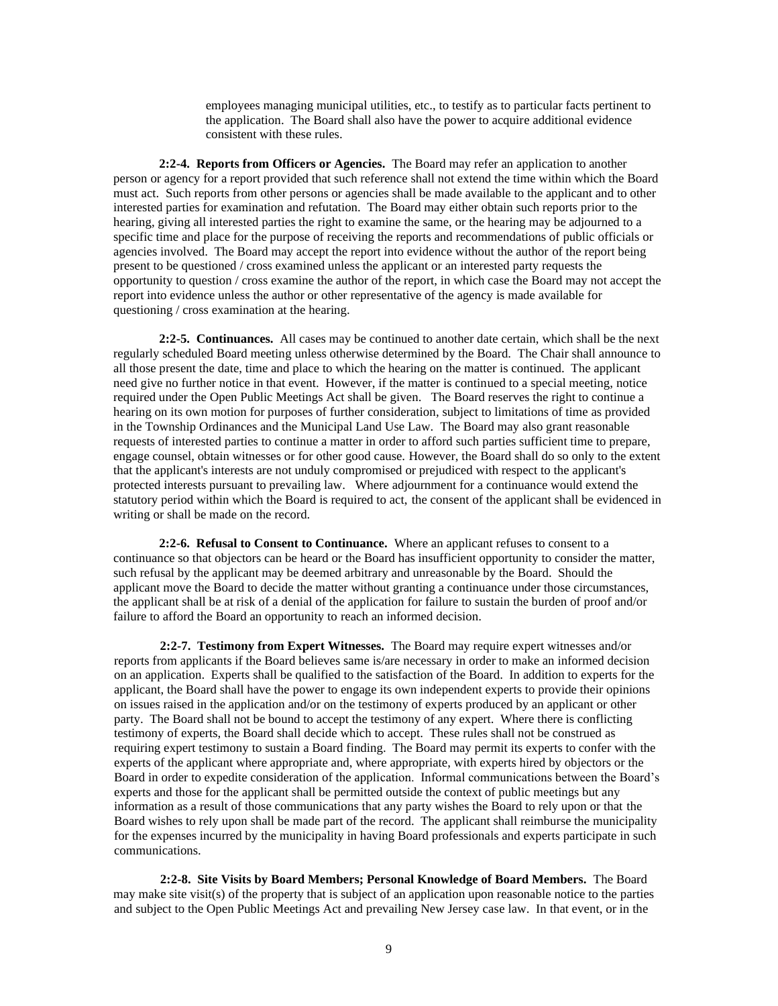employees managing municipal utilities, etc., to testify as to particular facts pertinent to the application. The Board shall also have the power to acquire additional evidence consistent with these rules.

**2:2-4. Reports from Officers or Agencies.** The Board may refer an application to another person or agency for a report provided that such reference shall not extend the time within which the Board must act. Such reports from other persons or agencies shall be made available to the applicant and to other interested parties for examination and refutation. The Board may either obtain such reports prior to the hearing, giving all interested parties the right to examine the same, or the hearing may be adjourned to a specific time and place for the purpose of receiving the reports and recommendations of public officials or agencies involved. The Board may accept the report into evidence without the author of the report being present to be questioned / cross examined unless the applicant or an interested party requests the opportunity to question / cross examine the author of the report, in which case the Board may not accept the report into evidence unless the author or other representative of the agency is made available for questioning / cross examination at the hearing.

**2:2-5. Continuances.** All cases may be continued to another date certain, which shall be the next regularly scheduled Board meeting unless otherwise determined by the Board. The Chair shall announce to all those present the date, time and place to which the hearing on the matter is continued. The applicant need give no further notice in that event. However, if the matter is continued to a special meeting, notice required under the Open Public Meetings Act shall be given. The Board reserves the right to continue a hearing on its own motion for purposes of further consideration, subject to limitations of time as provided in the Township Ordinances and the Municipal Land Use Law. The Board may also grant reasonable requests of interested parties to continue a matter in order to afford such parties sufficient time to prepare, engage counsel, obtain witnesses or for other good cause. However, the Board shall do so only to the extent that the applicant's interests are not unduly compromised or prejudiced with respect to the applicant's protected interests pursuant to prevailing law. Where adjournment for a continuance would extend the statutory period within which the Board is required to act, the consent of the applicant shall be evidenced in writing or shall be made on the record.

**2:2-6. Refusal to Consent to Continuance.** Where an applicant refuses to consent to a continuance so that objectors can be heard or the Board has insufficient opportunity to consider the matter, such refusal by the applicant may be deemed arbitrary and unreasonable by the Board. Should the applicant move the Board to decide the matter without granting a continuance under those circumstances, the applicant shall be at risk of a denial of the application for failure to sustain the burden of proof and/or failure to afford the Board an opportunity to reach an informed decision.

**2:2-7. Testimony from Expert Witnesses.** The Board may require expert witnesses and/or reports from applicants if the Board believes same is/are necessary in order to make an informed decision on an application. Experts shall be qualified to the satisfaction of the Board. In addition to experts for the applicant, the Board shall have the power to engage its own independent experts to provide their opinions on issues raised in the application and/or on the testimony of experts produced by an applicant or other party. The Board shall not be bound to accept the testimony of any expert. Where there is conflicting testimony of experts, the Board shall decide which to accept. These rules shall not be construed as requiring expert testimony to sustain a Board finding. The Board may permit its experts to confer with the experts of the applicant where appropriate and, where appropriate, with experts hired by objectors or the Board in order to expedite consideration of the application. Informal communications between the Board's experts and those for the applicant shall be permitted outside the context of public meetings but any information as a result of those communications that any party wishes the Board to rely upon or that the Board wishes to rely upon shall be made part of the record. The applicant shall reimburse the municipality for the expenses incurred by the municipality in having Board professionals and experts participate in such communications.

**2:2-8. Site Visits by Board Members; Personal Knowledge of Board Members.** The Board may make site visit(s) of the property that is subject of an application upon reasonable notice to the parties and subject to the Open Public Meetings Act and prevailing New Jersey case law. In that event, or in the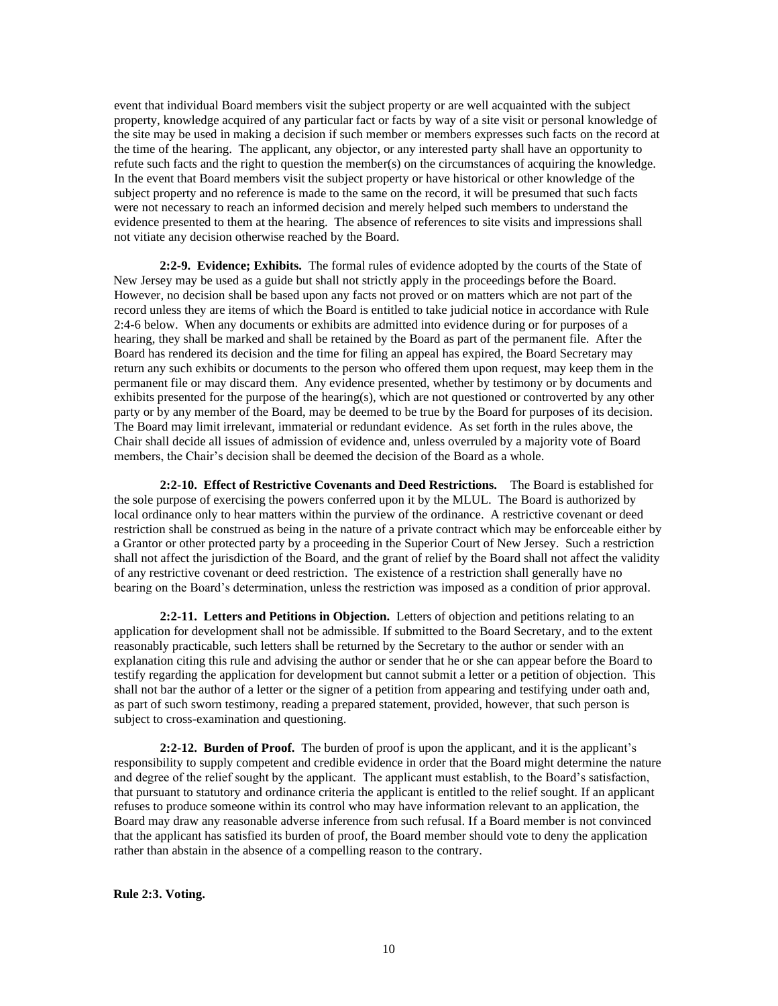event that individual Board members visit the subject property or are well acquainted with the subject property, knowledge acquired of any particular fact or facts by way of a site visit or personal knowledge of the site may be used in making a decision if such member or members expresses such facts on the record at the time of the hearing. The applicant, any objector, or any interested party shall have an opportunity to refute such facts and the right to question the member(s) on the circumstances of acquiring the knowledge. In the event that Board members visit the subject property or have historical or other knowledge of the subject property and no reference is made to the same on the record, it will be presumed that such facts were not necessary to reach an informed decision and merely helped such members to understand the evidence presented to them at the hearing. The absence of references to site visits and impressions shall not vitiate any decision otherwise reached by the Board.

**2:2-9. Evidence; Exhibits.** The formal rules of evidence adopted by the courts of the State of New Jersey may be used as a guide but shall not strictly apply in the proceedings before the Board. However, no decision shall be based upon any facts not proved or on matters which are not part of the record unless they are items of which the Board is entitled to take judicial notice in accordance with Rule 2:4-6 below. When any documents or exhibits are admitted into evidence during or for purposes of a hearing, they shall be marked and shall be retained by the Board as part of the permanent file. After the Board has rendered its decision and the time for filing an appeal has expired, the Board Secretary may return any such exhibits or documents to the person who offered them upon request, may keep them in the permanent file or may discard them. Any evidence presented, whether by testimony or by documents and exhibits presented for the purpose of the hearing(s), which are not questioned or controverted by any other party or by any member of the Board, may be deemed to be true by the Board for purposes of its decision. The Board may limit irrelevant, immaterial or redundant evidence. As set forth in the rules above, the Chair shall decide all issues of admission of evidence and, unless overruled by a majority vote of Board members, the Chair's decision shall be deemed the decision of the Board as a whole.

**2:2-10. Effect of Restrictive Covenants and Deed Restrictions.** The Board is established for the sole purpose of exercising the powers conferred upon it by the MLUL. The Board is authorized by local ordinance only to hear matters within the purview of the ordinance. A restrictive covenant or deed restriction shall be construed as being in the nature of a private contract which may be enforceable either by a Grantor or other protected party by a proceeding in the Superior Court of New Jersey. Such a restriction shall not affect the jurisdiction of the Board, and the grant of relief by the Board shall not affect the validity of any restrictive covenant or deed restriction. The existence of a restriction shall generally have no bearing on the Board's determination, unless the restriction was imposed as a condition of prior approval.

**2:2-11. Letters and Petitions in Objection.** Letters of objection and petitions relating to an application for development shall not be admissible. If submitted to the Board Secretary, and to the extent reasonably practicable, such letters shall be returned by the Secretary to the author or sender with an explanation citing this rule and advising the author or sender that he or she can appear before the Board to testify regarding the application for development but cannot submit a letter or a petition of objection. This shall not bar the author of a letter or the signer of a petition from appearing and testifying under oath and, as part of such sworn testimony, reading a prepared statement, provided, however, that such person is subject to cross-examination and questioning.

**2:2-12. Burden of Proof.** The burden of proof is upon the applicant, and it is the applicant's responsibility to supply competent and credible evidence in order that the Board might determine the nature and degree of the relief sought by the applicant. The applicant must establish, to the Board's satisfaction, that pursuant to statutory and ordinance criteria the applicant is entitled to the relief sought. If an applicant refuses to produce someone within its control who may have information relevant to an application, the Board may draw any reasonable adverse inference from such refusal. If a Board member is not convinced that the applicant has satisfied its burden of proof, the Board member should vote to deny the application rather than abstain in the absence of a compelling reason to the contrary.

**Rule 2:3. Voting.**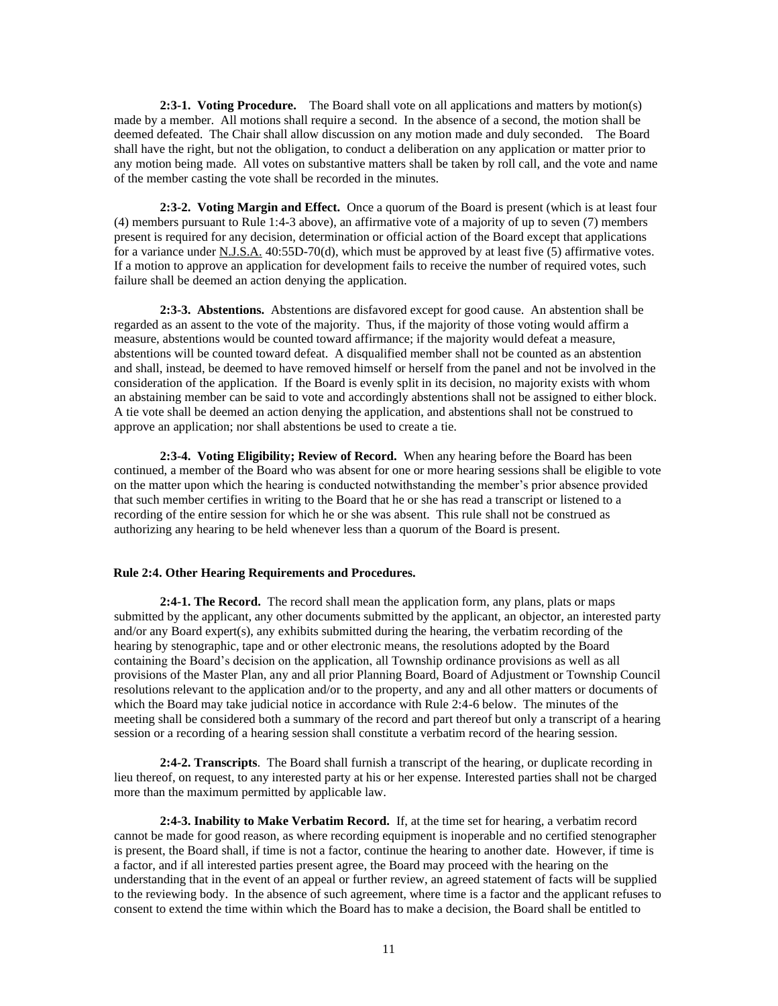**2:3-1. Voting Procedure.** The Board shall vote on all applications and matters by motion(s) made by a member. All motions shall require a second. In the absence of a second, the motion shall be deemed defeated. The Chair shall allow discussion on any motion made and duly seconded. The Board shall have the right, but not the obligation, to conduct a deliberation on any application or matter prior to any motion being made. All votes on substantive matters shall be taken by roll call, and the vote and name of the member casting the vote shall be recorded in the minutes.

**2:3-2. Voting Margin and Effect.** Once a quorum of the Board is present (which is at least four (4) members pursuant to Rule 1:4-3 above), an affirmative vote of a majority of up to seven (7) members present is required for any decision, determination or official action of the Board except that applications for a variance under N.J.S.A. 40:55D-70(d), which must be approved by at least five (5) affirmative votes. If a motion to approve an application for development fails to receive the number of required votes, such failure shall be deemed an action denying the application.

**2:3-3. Abstentions.** Abstentions are disfavored except for good cause. An abstention shall be regarded as an assent to the vote of the majority. Thus, if the majority of those voting would affirm a measure, abstentions would be counted toward affirmance; if the majority would defeat a measure, abstentions will be counted toward defeat. A disqualified member shall not be counted as an abstention and shall, instead, be deemed to have removed himself or herself from the panel and not be involved in the consideration of the application. If the Board is evenly split in its decision, no majority exists with whom an abstaining member can be said to vote and accordingly abstentions shall not be assigned to either block. A tie vote shall be deemed an action denying the application, and abstentions shall not be construed to approve an application; nor shall abstentions be used to create a tie.

**2:3-4. Voting Eligibility; Review of Record.** When any hearing before the Board has been continued, a member of the Board who was absent for one or more hearing sessions shall be eligible to vote on the matter upon which the hearing is conducted notwithstanding the member's prior absence provided that such member certifies in writing to the Board that he or she has read a transcript or listened to a recording of the entire session for which he or she was absent. This rule shall not be construed as authorizing any hearing to be held whenever less than a quorum of the Board is present.

#### **Rule 2:4. Other Hearing Requirements and Procedures.**

**2:4-1. The Record.** The record shall mean the application form, any plans, plats or maps submitted by the applicant, any other documents submitted by the applicant, an objector, an interested party and/or any Board expert(s), any exhibits submitted during the hearing, the verbatim recording of the hearing by stenographic, tape and or other electronic means, the resolutions adopted by the Board containing the Board's decision on the application, all Township ordinance provisions as well as all provisions of the Master Plan, any and all prior Planning Board, Board of Adjustment or Township Council resolutions relevant to the application and/or to the property, and any and all other matters or documents of which the Board may take judicial notice in accordance with Rule 2:4-6 below. The minutes of the meeting shall be considered both a summary of the record and part thereof but only a transcript of a hearing session or a recording of a hearing session shall constitute a verbatim record of the hearing session.

**2:4-2. Transcripts**. The Board shall furnish a transcript of the hearing, or duplicate recording in lieu thereof, on request, to any interested party at his or her expense. Interested parties shall not be charged more than the maximum permitted by applicable law.

**2:4-3. Inability to Make Verbatim Record.** If, at the time set for hearing, a verbatim record cannot be made for good reason, as where recording equipment is inoperable and no certified stenographer is present, the Board shall, if time is not a factor, continue the hearing to another date. However, if time is a factor, and if all interested parties present agree, the Board may proceed with the hearing on the understanding that in the event of an appeal or further review, an agreed statement of facts will be supplied to the reviewing body. In the absence of such agreement, where time is a factor and the applicant refuses to consent to extend the time within which the Board has to make a decision, the Board shall be entitled to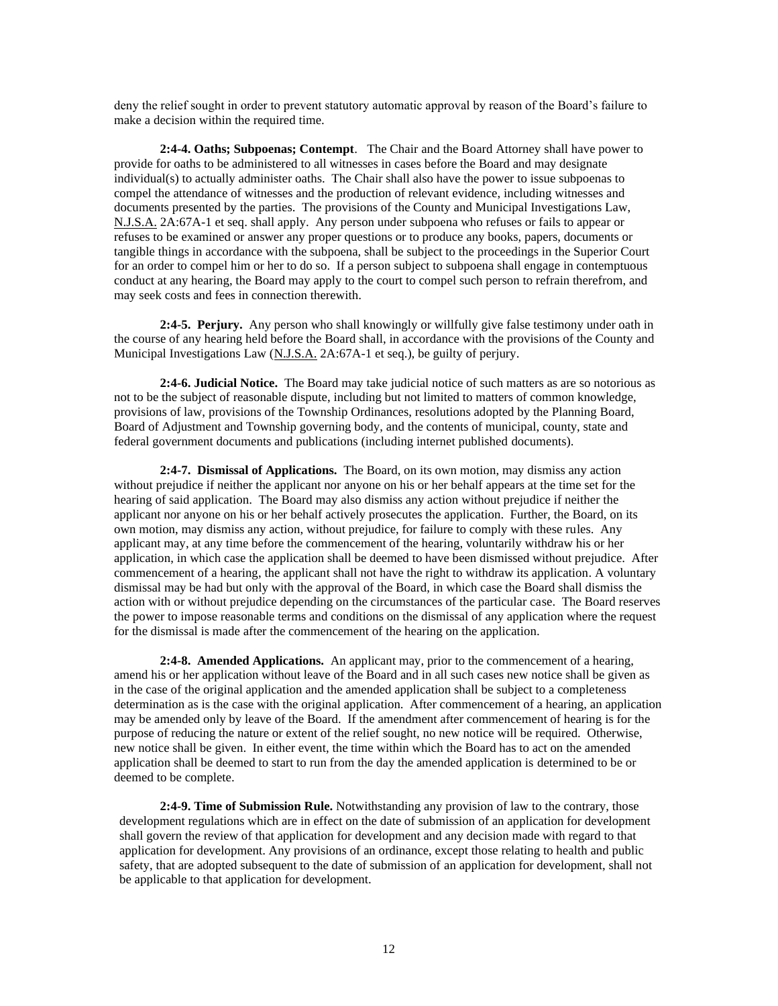deny the relief sought in order to prevent statutory automatic approval by reason of the Board's failure to make a decision within the required time.

**2:4-4. Oaths; Subpoenas; Contempt**. The Chair and the Board Attorney shall have power to provide for oaths to be administered to all witnesses in cases before the Board and may designate individual(s) to actually administer oaths. The Chair shall also have the power to issue subpoenas to compel the attendance of witnesses and the production of relevant evidence, including witnesses and documents presented by the parties. The provisions of the County and Municipal Investigations Law, N.J.S.A. 2A:67A-1 et seq. shall apply. Any person under subpoena who refuses or fails to appear or refuses to be examined or answer any proper questions or to produce any books, papers, documents or tangible things in accordance with the subpoena, shall be subject to the proceedings in the Superior Court for an order to compel him or her to do so. If a person subject to subpoena shall engage in contemptuous conduct at any hearing, the Board may apply to the court to compel such person to refrain therefrom, and may seek costs and fees in connection therewith.

**2:4-5. Perjury.** Any person who shall knowingly or willfully give false testimony under oath in the course of any hearing held before the Board shall, in accordance with the provisions of the County and Municipal Investigations Law (N.J.S.A. 2A:67A-1 et seq.), be guilty of perjury.

**2:4-6. Judicial Notice.** The Board may take judicial notice of such matters as are so notorious as not to be the subject of reasonable dispute, including but not limited to matters of common knowledge, provisions of law, provisions of the Township Ordinances, resolutions adopted by the Planning Board, Board of Adjustment and Township governing body, and the contents of municipal, county, state and federal government documents and publications (including internet published documents).

**2:4-7. Dismissal of Applications.** The Board, on its own motion, may dismiss any action without prejudice if neither the applicant nor anyone on his or her behalf appears at the time set for the hearing of said application. The Board may also dismiss any action without prejudice if neither the applicant nor anyone on his or her behalf actively prosecutes the application. Further, the Board, on its own motion, may dismiss any action, without prejudice, for failure to comply with these rules. Any applicant may, at any time before the commencement of the hearing, voluntarily withdraw his or her application, in which case the application shall be deemed to have been dismissed without prejudice. After commencement of a hearing, the applicant shall not have the right to withdraw its application. A voluntary dismissal may be had but only with the approval of the Board, in which case the Board shall dismiss the action with or without prejudice depending on the circumstances of the particular case. The Board reserves the power to impose reasonable terms and conditions on the dismissal of any application where the request for the dismissal is made after the commencement of the hearing on the application.

**2:4-8. Amended Applications.** An applicant may, prior to the commencement of a hearing, amend his or her application without leave of the Board and in all such cases new notice shall be given as in the case of the original application and the amended application shall be subject to a completeness determination as is the case with the original application. After commencement of a hearing, an application may be amended only by leave of the Board. If the amendment after commencement of hearing is for the purpose of reducing the nature or extent of the relief sought, no new notice will be required. Otherwise, new notice shall be given. In either event, the time within which the Board has to act on the amended application shall be deemed to start to run from the day the amended application is determined to be or deemed to be complete.

**2:4-9. Time of Submission Rule.** Notwithstanding any provision of law to the contrary, those development regulations which are in effect on the date of submission of an application for development shall govern the review of that application for development and any decision made with regard to that application for development. Any provisions of an ordinance, except those relating to health and public safety, that are adopted subsequent to the date of submission of an application for development, shall not be applicable to that application for development.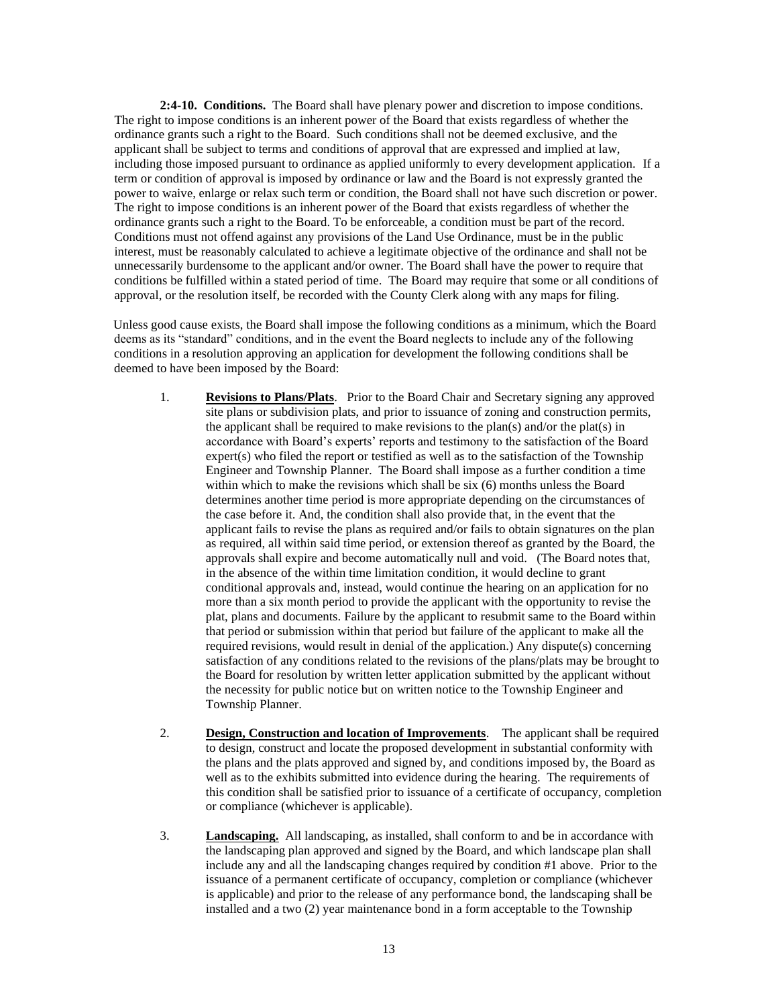**2:4-10. Conditions.** The Board shall have plenary power and discretion to impose conditions. The right to impose conditions is an inherent power of the Board that exists regardless of whether the ordinance grants such a right to the Board. Such conditions shall not be deemed exclusive, and the applicant shall be subject to terms and conditions of approval that are expressed and implied at law, including those imposed pursuant to ordinance as applied uniformly to every development application. If a term or condition of approval is imposed by ordinance or law and the Board is not expressly granted the power to waive, enlarge or relax such term or condition, the Board shall not have such discretion or power. The right to impose conditions is an inherent power of the Board that exists regardless of whether the ordinance grants such a right to the Board. To be enforceable, a condition must be part of the record. Conditions must not offend against any provisions of the Land Use Ordinance, must be in the public interest, must be reasonably calculated to achieve a legitimate objective of the ordinance and shall not be unnecessarily burdensome to the applicant and/or owner. The Board shall have the power to require that conditions be fulfilled within a stated period of time. The Board may require that some or all conditions of approval, or the resolution itself, be recorded with the County Clerk along with any maps for filing.

Unless good cause exists, the Board shall impose the following conditions as a minimum, which the Board deems as its "standard" conditions, and in the event the Board neglects to include any of the following conditions in a resolution approving an application for development the following conditions shall be deemed to have been imposed by the Board:

- 1. **Revisions to Plans/Plats**. Prior to the Board Chair and Secretary signing any approved site plans or subdivision plats, and prior to issuance of zoning and construction permits, the applicant shall be required to make revisions to the plan(s) and/or the plat(s) in accordance with Board's experts' reports and testimony to the satisfaction of the Board expert(s) who filed the report or testified as well as to the satisfaction of the Township Engineer and Township Planner. The Board shall impose as a further condition a time within which to make the revisions which shall be six (6) months unless the Board determines another time period is more appropriate depending on the circumstances of the case before it. And, the condition shall also provide that, in the event that the applicant fails to revise the plans as required and/or fails to obtain signatures on the plan as required, all within said time period, or extension thereof as granted by the Board, the approvals shall expire and become automatically null and void. (The Board notes that, in the absence of the within time limitation condition, it would decline to grant conditional approvals and, instead, would continue the hearing on an application for no more than a six month period to provide the applicant with the opportunity to revise the plat, plans and documents. Failure by the applicant to resubmit same to the Board within that period or submission within that period but failure of the applicant to make all the required revisions, would result in denial of the application.) Any dispute(s) concerning satisfaction of any conditions related to the revisions of the plans/plats may be brought to the Board for resolution by written letter application submitted by the applicant without the necessity for public notice but on written notice to the Township Engineer and Township Planner.
- 2. **Design, Construction and location of Improvements**. The applicant shall be required to design, construct and locate the proposed development in substantial conformity with the plans and the plats approved and signed by, and conditions imposed by, the Board as well as to the exhibits submitted into evidence during the hearing. The requirements of this condition shall be satisfied prior to issuance of a certificate of occupancy, completion or compliance (whichever is applicable).
- 3. **Landscaping.** All landscaping, as installed, shall conform to and be in accordance with the landscaping plan approved and signed by the Board, and which landscape plan shall include any and all the landscaping changes required by condition #1 above. Prior to the issuance of a permanent certificate of occupancy, completion or compliance (whichever is applicable) and prior to the release of any performance bond, the landscaping shall be installed and a two (2) year maintenance bond in a form acceptable to the Township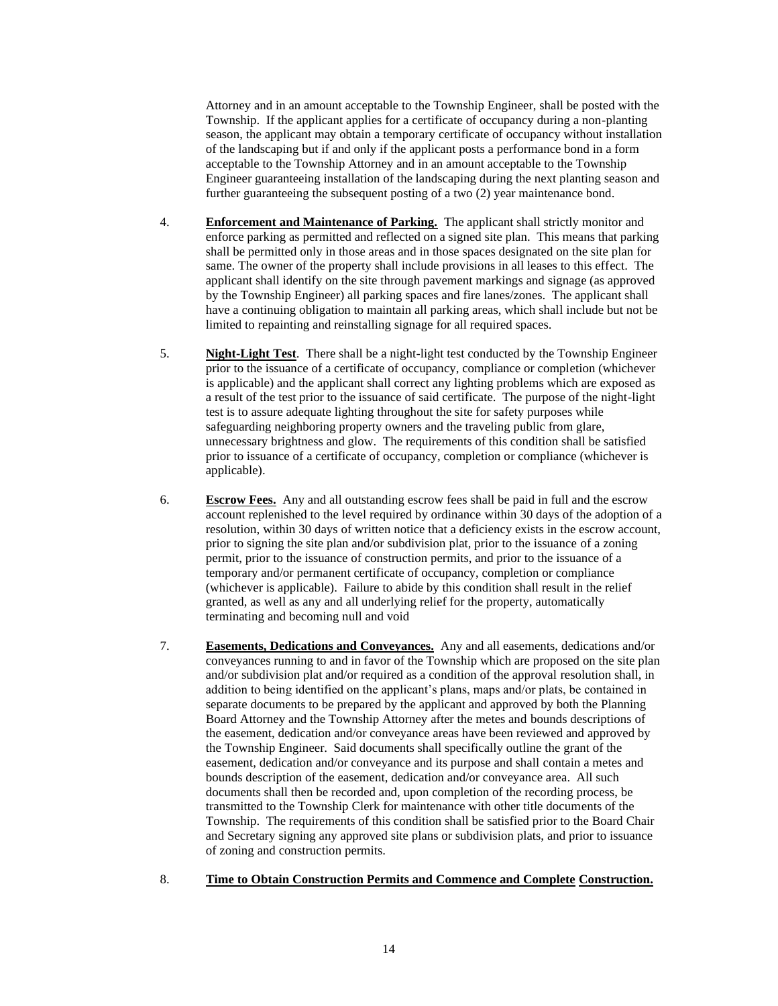Attorney and in an amount acceptable to the Township Engineer, shall be posted with the Township. If the applicant applies for a certificate of occupancy during a non-planting season, the applicant may obtain a temporary certificate of occupancy without installation of the landscaping but if and only if the applicant posts a performance bond in a form acceptable to the Township Attorney and in an amount acceptable to the Township Engineer guaranteeing installation of the landscaping during the next planting season and further guaranteeing the subsequent posting of a two (2) year maintenance bond.

- 4. **Enforcement and Maintenance of Parking.** The applicant shall strictly monitor and enforce parking as permitted and reflected on a signed site plan. This means that parking shall be permitted only in those areas and in those spaces designated on the site plan for same. The owner of the property shall include provisions in all leases to this effect. The applicant shall identify on the site through pavement markings and signage (as approved by the Township Engineer) all parking spaces and fire lanes/zones. The applicant shall have a continuing obligation to maintain all parking areas, which shall include but not be limited to repainting and reinstalling signage for all required spaces.
- 5. **Night-Light Test**. There shall be a night-light test conducted by the Township Engineer prior to the issuance of a certificate of occupancy, compliance or completion (whichever is applicable) and the applicant shall correct any lighting problems which are exposed as a result of the test prior to the issuance of said certificate. The purpose of the night-light test is to assure adequate lighting throughout the site for safety purposes while safeguarding neighboring property owners and the traveling public from glare, unnecessary brightness and glow. The requirements of this condition shall be satisfied prior to issuance of a certificate of occupancy, completion or compliance (whichever is applicable).
- 6. **Escrow Fees.** Any and all outstanding escrow fees shall be paid in full and the escrow account replenished to the level required by ordinance within 30 days of the adoption of a resolution, within 30 days of written notice that a deficiency exists in the escrow account, prior to signing the site plan and/or subdivision plat, prior to the issuance of a zoning permit, prior to the issuance of construction permits, and prior to the issuance of a temporary and/or permanent certificate of occupancy, completion or compliance (whichever is applicable). Failure to abide by this condition shall result in the relief granted, as well as any and all underlying relief for the property, automatically terminating and becoming null and void
- 7. **Easements, Dedications and Conveyances.** Any and all easements, dedications and/or conveyances running to and in favor of the Township which are proposed on the site plan and/or subdivision plat and/or required as a condition of the approval resolution shall, in addition to being identified on the applicant's plans, maps and/or plats, be contained in separate documents to be prepared by the applicant and approved by both the Planning Board Attorney and the Township Attorney after the metes and bounds descriptions of the easement, dedication and/or conveyance areas have been reviewed and approved by the Township Engineer. Said documents shall specifically outline the grant of the easement, dedication and/or conveyance and its purpose and shall contain a metes and bounds description of the easement, dedication and/or conveyance area. All such documents shall then be recorded and, upon completion of the recording process, be transmitted to the Township Clerk for maintenance with other title documents of the Township. The requirements of this condition shall be satisfied prior to the Board Chair and Secretary signing any approved site plans or subdivision plats, and prior to issuance of zoning and construction permits.
- 8. **Time to Obtain Construction Permits and Commence and Complete Construction.**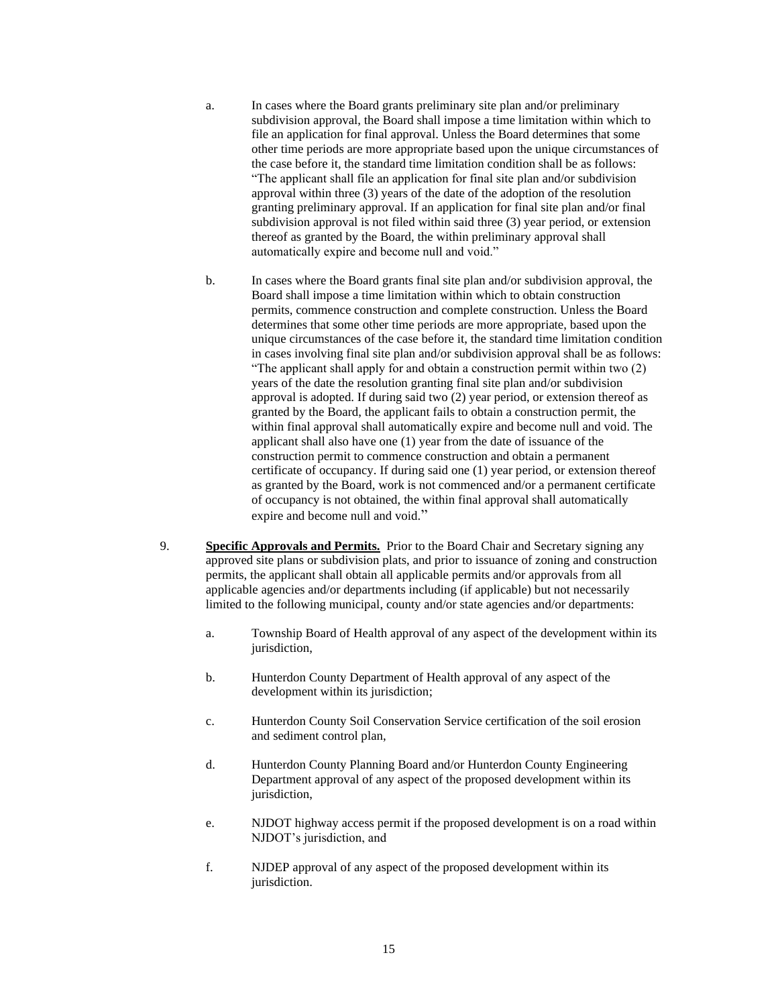- a. In cases where the Board grants preliminary site plan and/or preliminary subdivision approval, the Board shall impose a time limitation within which to file an application for final approval. Unless the Board determines that some other time periods are more appropriate based upon the unique circumstances of the case before it, the standard time limitation condition shall be as follows: "The applicant shall file an application for final site plan and/or subdivision approval within three (3) years of the date of the adoption of the resolution granting preliminary approval. If an application for final site plan and/or final subdivision approval is not filed within said three (3) year period, or extension thereof as granted by the Board, the within preliminary approval shall automatically expire and become null and void."
- b. In cases where the Board grants final site plan and/or subdivision approval, the Board shall impose a time limitation within which to obtain construction permits, commence construction and complete construction. Unless the Board determines that some other time periods are more appropriate, based upon the unique circumstances of the case before it, the standard time limitation condition in cases involving final site plan and/or subdivision approval shall be as follows: "The applicant shall apply for and obtain a construction permit within two (2) years of the date the resolution granting final site plan and/or subdivision approval is adopted. If during said two (2) year period, or extension thereof as granted by the Board, the applicant fails to obtain a construction permit, the within final approval shall automatically expire and become null and void. The applicant shall also have one (1) year from the date of issuance of the construction permit to commence construction and obtain a permanent certificate of occupancy. If during said one (1) year period, or extension thereof as granted by the Board, work is not commenced and/or a permanent certificate of occupancy is not obtained, the within final approval shall automatically expire and become null and void."
- 9. **Specific Approvals and Permits.** Prior to the Board Chair and Secretary signing any approved site plans or subdivision plats, and prior to issuance of zoning and construction permits, the applicant shall obtain all applicable permits and/or approvals from all applicable agencies and/or departments including (if applicable) but not necessarily limited to the following municipal, county and/or state agencies and/or departments:
	- a. Township Board of Health approval of any aspect of the development within its jurisdiction,
	- b. Hunterdon County Department of Health approval of any aspect of the development within its jurisdiction;
	- c. Hunterdon County Soil Conservation Service certification of the soil erosion and sediment control plan,
	- d. Hunterdon County Planning Board and/or Hunterdon County Engineering Department approval of any aspect of the proposed development within its jurisdiction,
	- e. NJDOT highway access permit if the proposed development is on a road within NJDOT's jurisdiction, and
	- f. NJDEP approval of any aspect of the proposed development within its jurisdiction.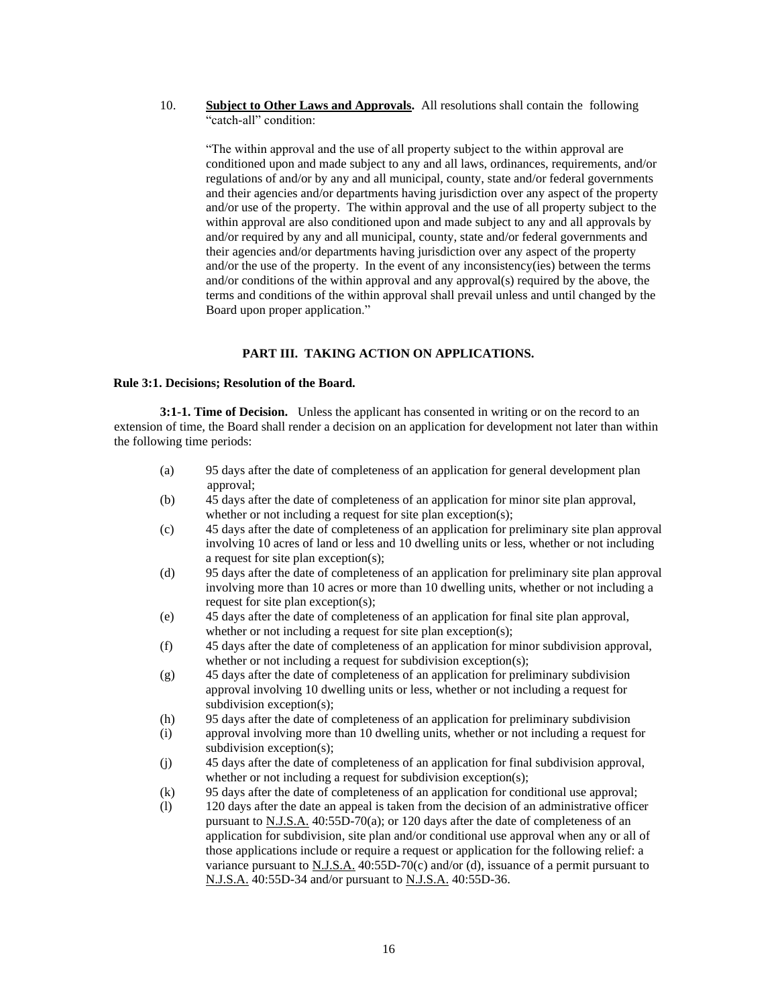10. **Subject to Other Laws and Approvals.** All resolutions shall contain the following "catch-all" condition:

"The within approval and the use of all property subject to the within approval are conditioned upon and made subject to any and all laws, ordinances, requirements, and/or regulations of and/or by any and all municipal, county, state and/or federal governments and their agencies and/or departments having jurisdiction over any aspect of the property and/or use of the property. The within approval and the use of all property subject to the within approval are also conditioned upon and made subject to any and all approvals by and/or required by any and all municipal, county, state and/or federal governments and their agencies and/or departments having jurisdiction over any aspect of the property and/or the use of the property. In the event of any inconsistency(ies) between the terms and/or conditions of the within approval and any approval(s) required by the above, the terms and conditions of the within approval shall prevail unless and until changed by the Board upon proper application."

## **PART III. TAKING ACTION ON APPLICATIONS.**

#### **Rule 3:1. Decisions; Resolution of the Board.**

**3:1-1. Time of Decision.** Unless the applicant has consented in writing or on the record to an extension of time, the Board shall render a decision on an application for development not later than within the following time periods:

- (a) 95 days after the date of completeness of an application for general development plan approval;
- (b) 45 days after the date of completeness of an application for minor site plan approval, whether or not including a request for site plan exception(s);
- (c) 45 days after the date of completeness of an application for preliminary site plan approval involving 10 acres of land or less and 10 dwelling units or less, whether or not including a request for site plan exception(s);
- (d) 95 days after the date of completeness of an application for preliminary site plan approval involving more than 10 acres or more than 10 dwelling units, whether or not including a request for site plan exception(s);
- (e) 45 days after the date of completeness of an application for final site plan approval, whether or not including a request for site plan exception(s);
- (f) 45 days after the date of completeness of an application for minor subdivision approval, whether or not including a request for subdivision exception(s);
- (g) 45 days after the date of completeness of an application for preliminary subdivision approval involving 10 dwelling units or less, whether or not including a request for subdivision exception(s);
- (h) 95 days after the date of completeness of an application for preliminary subdivision
- (i) approval involving more than 10 dwelling units, whether or not including a request for subdivision exception(s);
- (j) 45 days after the date of completeness of an application for final subdivision approval, whether or not including a request for subdivision exception(s);
- (k) 95 days after the date of completeness of an application for conditional use approval;
- (l) 120 days after the date an appeal is taken from the decision of an administrative officer pursuant to N.J.S.A. 40:55D-70(a); or 120 days after the date of completeness of an application for subdivision, site plan and/or conditional use approval when any or all of those applications include or require a request or application for the following relief: a variance pursuant to  $N.J.S.A.$  40:55D-70(c) and/or (d), issuance of a permit pursuant to N.J.S.A. 40:55D-34 and/or pursuant to N.J.S.A. 40:55D-36.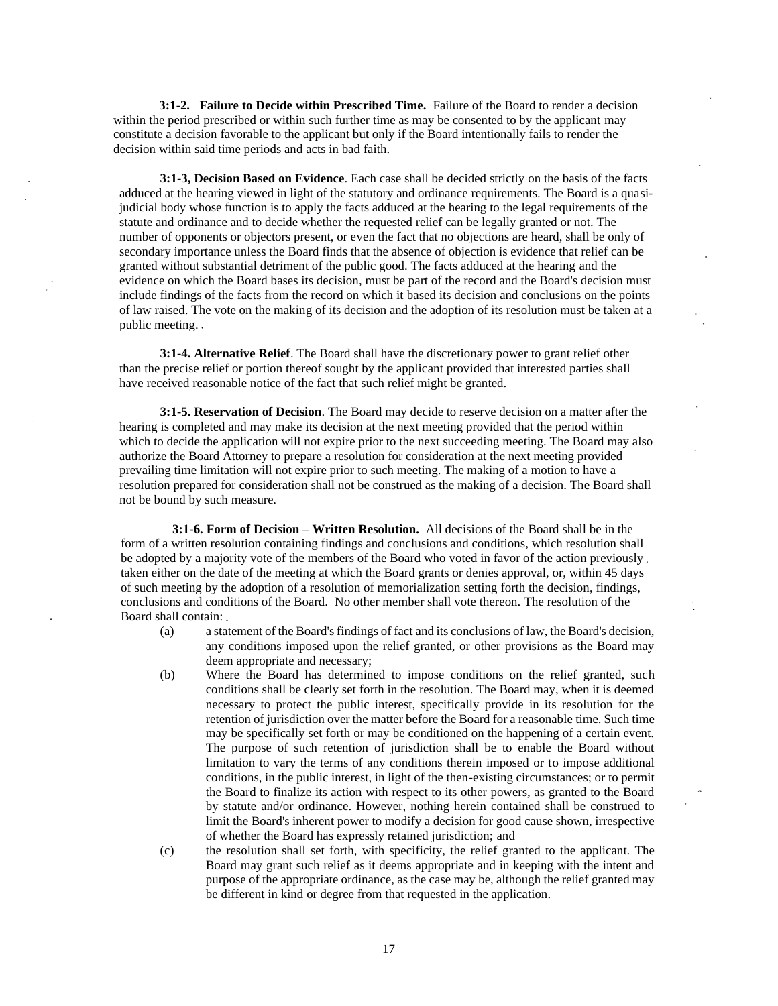**3:1-2. Failure to Decide within Prescribed Time.** Failure of the Board to render a decision within the period prescribed or within such further time as may be consented to by the applicant may constitute a decision favorable to the applicant but only if the Board intentionally fails to render the decision within said time periods and acts in bad faith.

**3:1-3, Decision Based on Evidence**. Each case shall be decided strictly on the basis of the facts adduced at the hearing viewed in light of the statutory and ordinance requirements. The Board is a quasijudicial body whose function is to apply the facts adduced at the hearing to the legal requirements of the statute and ordinance and to decide whether the requested relief can be legally granted or not. The number of opponents or objectors present, or even the fact that no objections are heard, shall be only of secondary importance unless the Board finds that the absence of objection is evidence that relief can be granted without substantial detriment of the public good. The facts adduced at the hearing and the evidence on which the Board bases its decision, must be part of the record and the Board's decision must include findings of the facts from the record on which it based its decision and conclusions on the points of law raised. The vote on the making of its decision and the adoption of its resolution must be taken at a public meeting.

**3:1-4. Alternative Relief**. The Board shall have the discretionary power to grant relief other than the precise relief or portion thereof sought by the applicant provided that interested parties shall have received reasonable notice of the fact that such relief might be granted.

**3:1-5. Reservation of Decision**. The Board may decide to reserve decision on a matter after the hearing is completed and may make its decision at the next meeting provided that the period within which to decide the application will not expire prior to the next succeeding meeting. The Board may also authorize the Board Attorney to prepare a resolution for consideration at the next meeting provided prevailing time limitation will not expire prior to such meeting. The making of a motion to have a resolution prepared for consideration shall not be construed as the making of a decision. The Board shall not be bound by such measure.

**3:1-6. Form of Decision – Written Resolution.** All decisions of the Board shall be in the form of a written resolution containing findings and conclusions and conditions, which resolution shall be adopted by a majority vote of the members of the Board who voted in favor of the action previously. taken either on the date of the meeting at which the Board grants or denies approval, or, within 45 days of such meeting by the adoption of a resolution of memorialization setting forth the decision, findings, conclusions and conditions of the Board. No other member shall vote thereon. The resolution of the Board shall contain:

- (a) a statement of the Board's findings of fact and its conclusions of law, the Board's decision, any conditions imposed upon the relief granted, or other provisions as the Board may deem appropriate and necessary;
- (b) Where the Board has determined to impose conditions on the relief granted, such conditions shall be clearly set forth in the resolution. The Board may, when it is deemed necessary to protect the public interest, specifically provide in its resolution for the retention of jurisdiction over the matter before the Board for a reasonable time. Such time may be specifically set forth or may be conditioned on the happening of a certain event. The purpose of such retention of jurisdiction shall be to enable the Board without limitation to vary the terms of any conditions therein imposed or to impose additional conditions, in the public interest, in light of the then-existing circumstances; or to permit the Board to finalize its action with respect to its other powers, as granted to the Board by statute and/or ordinance. However, nothing herein contained shall be construed to limit the Board's inherent power to modify a decision for good cause shown, irrespective of whether the Board has expressly retained jurisdiction; and
- (c) the resolution shall set forth, with specificity, the relief granted to the applicant. The Board may grant such relief as it deems appropriate and in keeping with the intent and purpose of the appropriate ordinance, as the case may be, although the relief granted may be different in kind or degree from that requested in the application.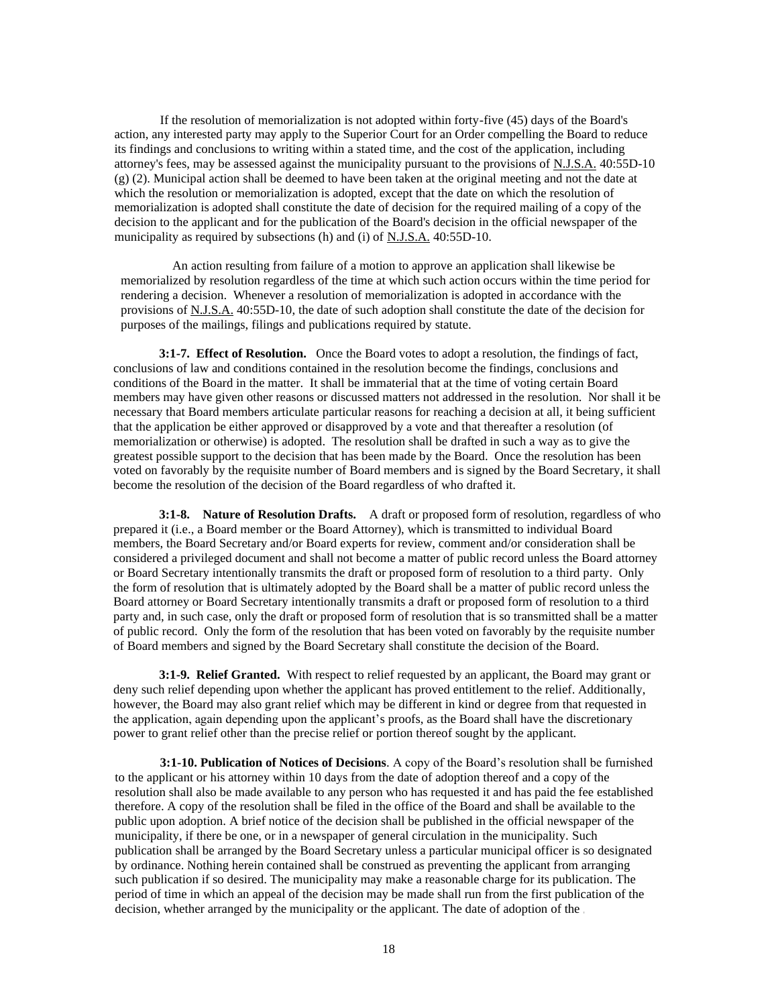If the resolution of memorialization is not adopted within forty-five (45) days of the Board's action, any interested party may apply to the Superior Court for an Order compelling the Board to reduce its findings and conclusions to writing within a stated time, and the cost of the application, including attorney's fees, may be assessed against the municipality pursuant to the provisions of N.J.S.A. 40:55D-10 (g) (2). Municipal action shall be deemed to have been taken at the original meeting and not the date at which the resolution or memorialization is adopted, except that the date on which the resolution of memorialization is adopted shall constitute the date of decision for the required mailing of a copy of the decision to the applicant and for the publication of the Board's decision in the official newspaper of the municipality as required by subsections (h) and (i) of N.J.S.A. 40:55D-10.

An action resulting from failure of a motion to approve an application shall likewise be memorialized by resolution regardless of the time at which such action occurs within the time period for rendering a decision. Whenever a resolution of memorialization is adopted in accordance with the provisions of N.J.S.A. 40:55D-10, the date of such adoption shall constitute the date of the decision for purposes of the mailings, filings and publications required by statute.

**3:1-7. Effect of Resolution.** Once the Board votes to adopt a resolution, the findings of fact, conclusions of law and conditions contained in the resolution become the findings, conclusions and conditions of the Board in the matter. It shall be immaterial that at the time of voting certain Board members may have given other reasons or discussed matters not addressed in the resolution. Nor shall it be necessary that Board members articulate particular reasons for reaching a decision at all, it being sufficient that the application be either approved or disapproved by a vote and that thereafter a resolution (of memorialization or otherwise) is adopted. The resolution shall be drafted in such a way as to give the greatest possible support to the decision that has been made by the Board. Once the resolution has been voted on favorably by the requisite number of Board members and is signed by the Board Secretary, it shall become the resolution of the decision of the Board regardless of who drafted it.

**3:1-8. Nature of Resolution Drafts.** A draft or proposed form of resolution, regardless of who prepared it (i.e., a Board member or the Board Attorney), which is transmitted to individual Board members, the Board Secretary and/or Board experts for review, comment and/or consideration shall be considered a privileged document and shall not become a matter of public record unless the Board attorney or Board Secretary intentionally transmits the draft or proposed form of resolution to a third party. Only the form of resolution that is ultimately adopted by the Board shall be a matter of public record unless the Board attorney or Board Secretary intentionally transmits a draft or proposed form of resolution to a third party and, in such case, only the draft or proposed form of resolution that is so transmitted shall be a matter of public record. Only the form of the resolution that has been voted on favorably by the requisite number of Board members and signed by the Board Secretary shall constitute the decision of the Board.

**3:1-9. Relief Granted.** With respect to relief requested by an applicant, the Board may grant or deny such relief depending upon whether the applicant has proved entitlement to the relief. Additionally, however, the Board may also grant relief which may be different in kind or degree from that requested in the application, again depending upon the applicant's proofs, as the Board shall have the discretionary power to grant relief other than the precise relief or portion thereof sought by the applicant.

**3:1-10. Publication of Notices of Decisions**. A copy of the Board's resolution shall be furnished to the applicant or his attorney within 10 days from the date of adoption thereof and a copy of the resolution shall also be made available to any person who has requested it and has paid the fee established therefore. A copy of the resolution shall be filed in the office of the Board and shall be available to the public upon adoption. A brief notice of the decision shall be published in the official newspaper of the municipality, if there be one, or in a newspaper of general circulation in the municipality. Such publication shall be arranged by the Board Secretary unless a particular municipal officer is so designated by ordinance. Nothing herein contained shall be construed as preventing the applicant from arranging such publication if so desired. The municipality may make a reasonable charge for its publication. The period of time in which an appeal of the decision may be made shall run from the first publication of the decision, whether arranged by the municipality or the applicant. The date of adoption of the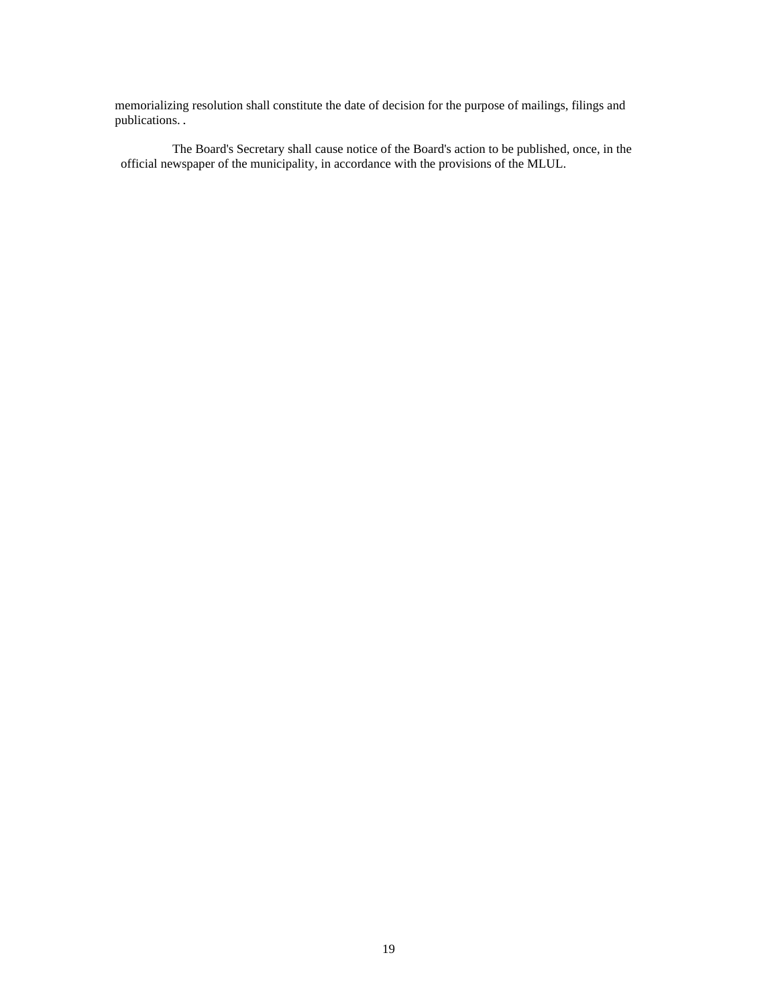memorializing resolution shall constitute the date of decision for the purpose of mailings, filings and publications.

The Board's Secretary shall cause notice of the Board's action to be published, once, in the official newspaper of the municipality, in accordance with the provisions of the MLUL.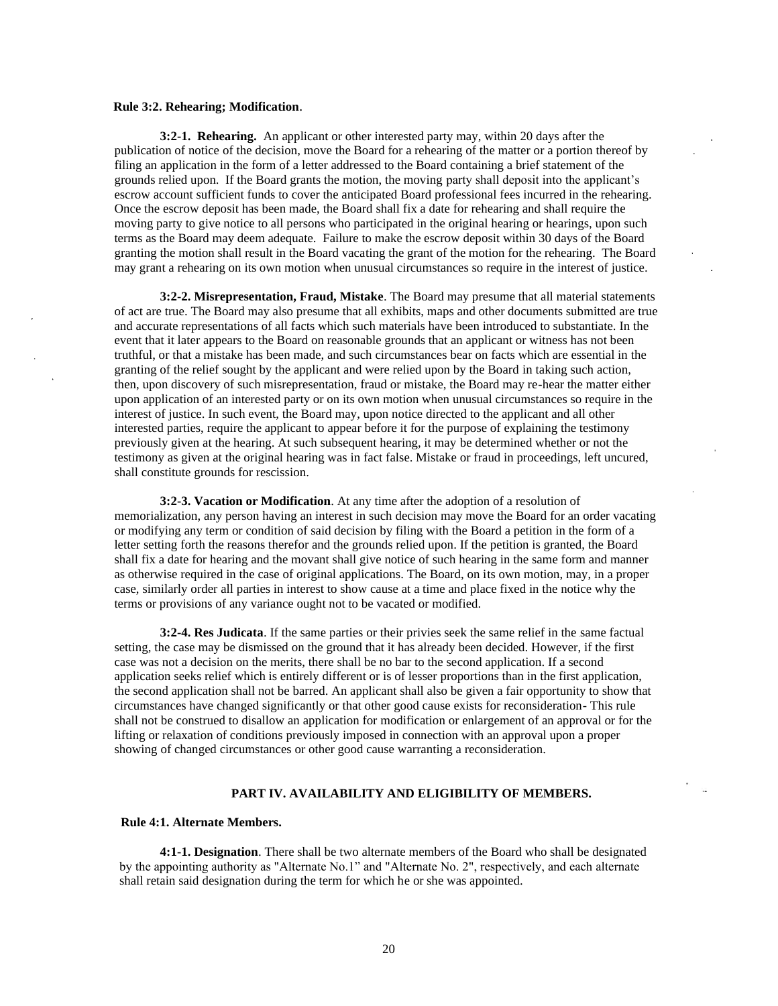#### **Rule 3:2. Rehearing; Modification**.

**3:2-1. Rehearing.** An applicant or other interested party may, within 20 days after the publication of notice of the decision, move the Board for a rehearing of the matter or a portion thereof by filing an application in the form of a letter addressed to the Board containing a brief statement of the grounds relied upon. If the Board grants the motion, the moving party shall deposit into the applicant's escrow account sufficient funds to cover the anticipated Board professional fees incurred in the rehearing. Once the escrow deposit has been made, the Board shall fix a date for rehearing and shall require the moving party to give notice to all persons who participated in the original hearing or hearings, upon such terms as the Board may deem adequate. Failure to make the escrow deposit within 30 days of the Board granting the motion shall result in the Board vacating the grant of the motion for the rehearing. The Board may grant a rehearing on its own motion when unusual circumstances so require in the interest of justice.

**3:2-2. Misrepresentation, Fraud, Mistake**. The Board may presume that all material statements of act are true. The Board may also presume that all exhibits, maps and other documents submitted are true and accurate representations of all facts which such materials have been introduced to substantiate. In the event that it later appears to the Board on reasonable grounds that an applicant or witness has not been truthful, or that a mistake has been made, and such circumstances bear on facts which are essential in the granting of the relief sought by the applicant and were relied upon by the Board in taking such action, then, upon discovery of such misrepresentation, fraud or mistake, the Board may re-hear the matter either upon application of an interested party or on its own motion when unusual circumstances so require in the interest of justice. In such event, the Board may, upon notice directed to the applicant and all other interested parties, require the applicant to appear before it for the purpose of explaining the testimony previously given at the hearing. At such subsequent hearing, it may be determined whether or not the testimony as given at the original hearing was in fact false. Mistake or fraud in proceedings, left uncured, shall constitute grounds for rescission.

**3:2-3. Vacation or Modification**. At any time after the adoption of a resolution of memorialization, any person having an interest in such decision may move the Board for an order vacating or modifying any term or condition of said decision by filing with the Board a petition in the form of a letter setting forth the reasons therefor and the grounds relied upon. If the petition is granted, the Board shall fix a date for hearing and the movant shall give notice of such hearing in the same form and manner as otherwise required in the case of original applications. The Board, on its own motion, may, in a proper case, similarly order all parties in interest to show cause at a time and place fixed in the notice why the terms or provisions of any variance ought not to be vacated or modified.

**3:2-4. Res Judicata**. If the same parties or their privies seek the same relief in the same factual setting, the case may be dismissed on the ground that it has already been decided. However, if the first case was not a decision on the merits, there shall be no bar to the second application. If a second application seeks relief which is entirely different or is of lesser proportions than in the first application, the second application shall not be barred. An applicant shall also be given a fair opportunity to show that circumstances have changed significantly or that other good cause exists for reconsideration- This rule shall not be construed to disallow an application for modification or enlargement of an approval or for the lifting or relaxation of conditions previously imposed in connection with an approval upon a proper showing of changed circumstances or other good cause warranting a reconsideration.

#### **PART IV. AVAILABILITY AND ELIGIBILITY OF MEMBERS.**

#### **Rule 4:1. Alternate Members.**

**4:1-1. Designation**. There shall be two alternate members of the Board who shall be designated by the appointing authority as "Alternate No.1" and "Alternate No. 2", respectively, and each alternate shall retain said designation during the term for which he or she was appointed.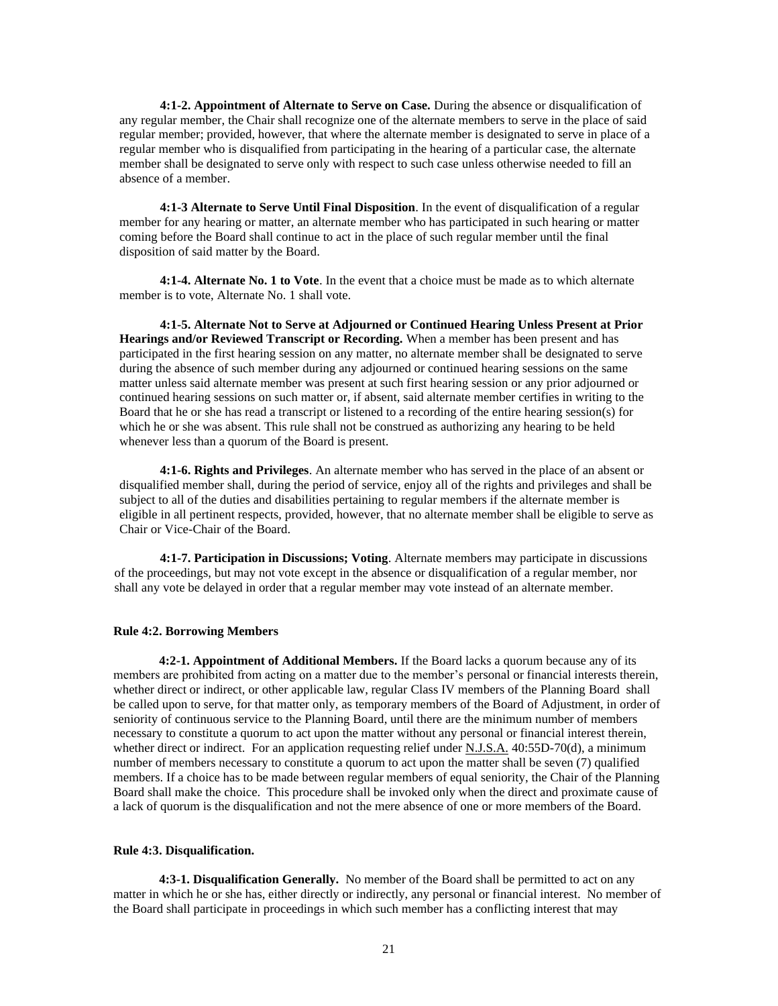**4:1-2. Appointment of Alternate to Serve on Case.** During the absence or disqualification of any regular member, the Chair shall recognize one of the alternate members to serve in the place of said regular member; provided, however, that where the alternate member is designated to serve in place of a regular member who is disqualified from participating in the hearing of a particular case, the alternate member shall be designated to serve only with respect to such case unless otherwise needed to fill an absence of a member.

**4:1-3 Alternate to Serve Until Final Disposition**. In the event of disqualification of a regular member for any hearing or matter, an alternate member who has participated in such hearing or matter coming before the Board shall continue to act in the place of such regular member until the final disposition of said matter by the Board.

**4:1-4. Alternate No. 1 to Vote**. In the event that a choice must be made as to which alternate member is to vote, Alternate No. 1 shall vote.

**4:1-5. Alternate Not to Serve at Adjourned or Continued Hearing Unless Present at Prior Hearings and/or Reviewed Transcript or Recording.** When a member has been present and has participated in the first hearing session on any matter, no alternate member shall be designated to serve during the absence of such member during any adjourned or continued hearing sessions on the same matter unless said alternate member was present at such first hearing session or any prior adjourned or continued hearing sessions on such matter or, if absent, said alternate member certifies in writing to the Board that he or she has read a transcript or listened to a recording of the entire hearing session(s) for which he or she was absent. This rule shall not be construed as authorizing any hearing to be held whenever less than a quorum of the Board is present.

**4:1-6. Rights and Privileges**. An alternate member who has served in the place of an absent or disqualified member shall, during the period of service, enjoy all of the rights and privileges and shall be subject to all of the duties and disabilities pertaining to regular members if the alternate member is eligible in all pertinent respects, provided, however, that no alternate member shall be eligible to serve as Chair or Vice-Chair of the Board.

**4:1-7. Participation in Discussions; Voting**. Alternate members may participate in discussions of the proceedings, but may not vote except in the absence or disqualification of a regular member, nor shall any vote be delayed in order that a regular member may vote instead of an alternate member.

#### **Rule 4:2. Borrowing Members**

**4:2-1. Appointment of Additional Members.** If the Board lacks a quorum because any of its members are prohibited from acting on a matter due to the member's personal or financial interests therein, whether direct or indirect, or other applicable law, regular Class IV members of the Planning Board shall be called upon to serve, for that matter only, as temporary members of the Board of Adjustment, in order of seniority of continuous service to the Planning Board, until there are the minimum number of members necessary to constitute a quorum to act upon the matter without any personal or financial interest therein, whether direct or indirect. For an application requesting relief under N.J.S.A. 40:55D-70(d), a minimum number of members necessary to constitute a quorum to act upon the matter shall be seven (7) qualified members. If a choice has to be made between regular members of equal seniority, the Chair of the Planning Board shall make the choice. This procedure shall be invoked only when the direct and proximate cause of a lack of quorum is the disqualification and not the mere absence of one or more members of the Board.

#### **Rule 4:3. Disqualification.**

**4:3-1. Disqualification Generally.** No member of the Board shall be permitted to act on any matter in which he or she has, either directly or indirectly, any personal or financial interest. No member of the Board shall participate in proceedings in which such member has a conflicting interest that may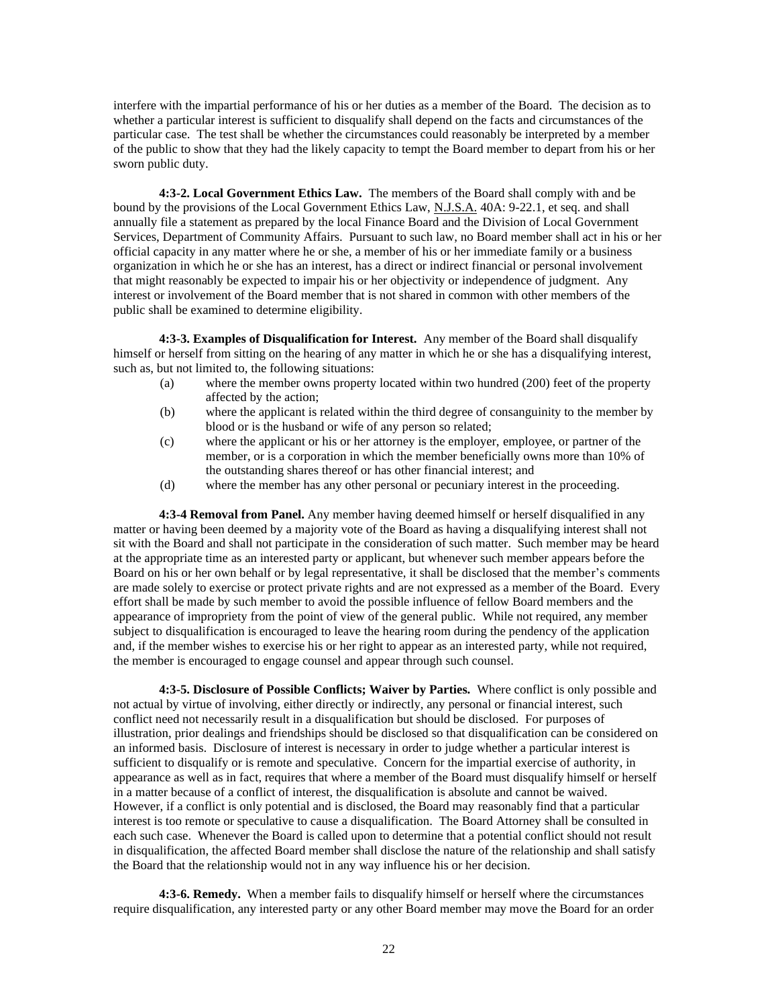interfere with the impartial performance of his or her duties as a member of the Board. The decision as to whether a particular interest is sufficient to disqualify shall depend on the facts and circumstances of the particular case. The test shall be whether the circumstances could reasonably be interpreted by a member of the public to show that they had the likely capacity to tempt the Board member to depart from his or her sworn public duty.

**4:3-2. Local Government Ethics Law.** The members of the Board shall comply with and be bound by the provisions of the Local Government Ethics Law, N.J.S.A. 40A: 9-22.1, et seq. and shall annually file a statement as prepared by the local Finance Board and the Division of Local Government Services, Department of Community Affairs. Pursuant to such law, no Board member shall act in his or her official capacity in any matter where he or she, a member of his or her immediate family or a business organization in which he or she has an interest, has a direct or indirect financial or personal involvement that might reasonably be expected to impair his or her objectivity or independence of judgment. Any interest or involvement of the Board member that is not shared in common with other members of the public shall be examined to determine eligibility.

**4:3-3. Examples of Disqualification for Interest.** Any member of the Board shall disqualify himself or herself from sitting on the hearing of any matter in which he or she has a disqualifying interest, such as, but not limited to, the following situations:

- (a) where the member owns property located within two hundred (200) feet of the property affected by the action;
- (b) where the applicant is related within the third degree of consanguinity to the member by blood or is the husband or wife of any person so related;
- (c) where the applicant or his or her attorney is the employer, employee, or partner of the member, or is a corporation in which the member beneficially owns more than 10% of the outstanding shares thereof or has other financial interest; and
- (d) where the member has any other personal or pecuniary interest in the proceeding.

**4:3-4 Removal from Panel.** Any member having deemed himself or herself disqualified in any matter or having been deemed by a majority vote of the Board as having a disqualifying interest shall not sit with the Board and shall not participate in the consideration of such matter. Such member may be heard at the appropriate time as an interested party or applicant, but whenever such member appears before the Board on his or her own behalf or by legal representative, it shall be disclosed that the member's comments are made solely to exercise or protect private rights and are not expressed as a member of the Board. Every effort shall be made by such member to avoid the possible influence of fellow Board members and the appearance of impropriety from the point of view of the general public. While not required, any member subject to disqualification is encouraged to leave the hearing room during the pendency of the application and, if the member wishes to exercise his or her right to appear as an interested party, while not required, the member is encouraged to engage counsel and appear through such counsel.

**4:3-5. Disclosure of Possible Conflicts; Waiver by Parties.** Where conflict is only possible and not actual by virtue of involving, either directly or indirectly, any personal or financial interest, such conflict need not necessarily result in a disqualification but should be disclosed. For purposes of illustration, prior dealings and friendships should be disclosed so that disqualification can be considered on an informed basis. Disclosure of interest is necessary in order to judge whether a particular interest is sufficient to disqualify or is remote and speculative. Concern for the impartial exercise of authority, in appearance as well as in fact, requires that where a member of the Board must disqualify himself or herself in a matter because of a conflict of interest, the disqualification is absolute and cannot be waived. However, if a conflict is only potential and is disclosed, the Board may reasonably find that a particular interest is too remote or speculative to cause a disqualification. The Board Attorney shall be consulted in each such case. Whenever the Board is called upon to determine that a potential conflict should not result in disqualification, the affected Board member shall disclose the nature of the relationship and shall satisfy the Board that the relationship would not in any way influence his or her decision.

**4:3-6. Remedy.** When a member fails to disqualify himself or herself where the circumstances require disqualification, any interested party or any other Board member may move the Board for an order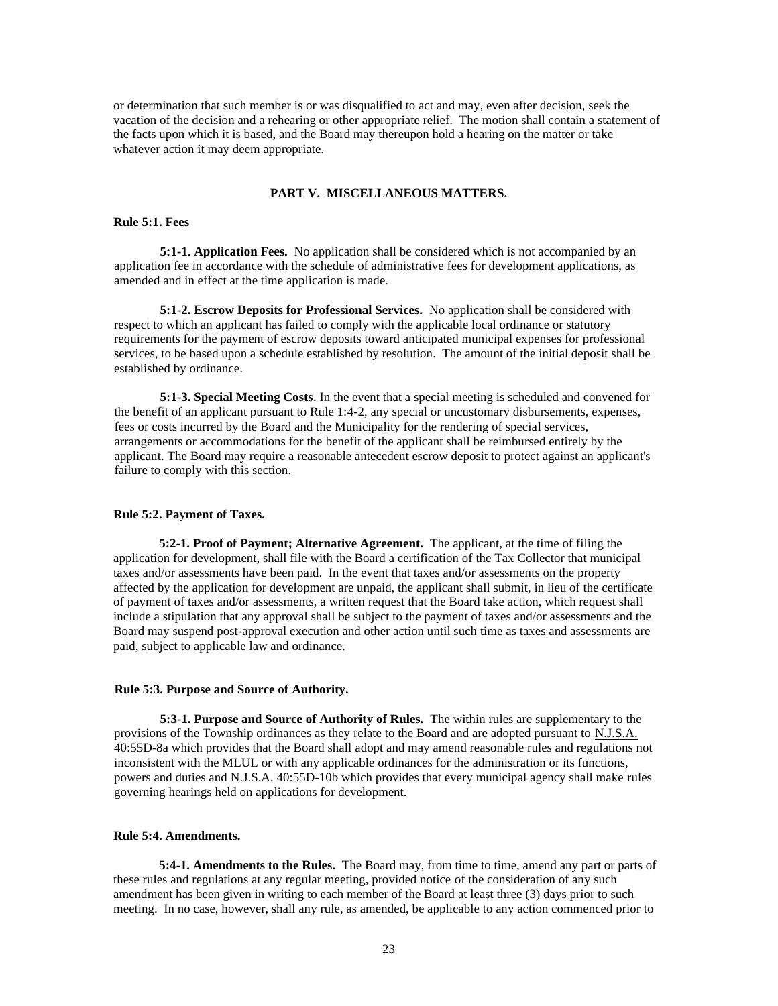or determination that such member is or was disqualified to act and may, even after decision, seek the vacation of the decision and a rehearing or other appropriate relief. The motion shall contain a statement of the facts upon which it is based, and the Board may thereupon hold a hearing on the matter or take whatever action it may deem appropriate.

## **PART V. MISCELLANEOUS MATTERS.**

#### **Rule 5:1. Fees**

**5:1-1. Application Fees.** No application shall be considered which is not accompanied by an application fee in accordance with the schedule of administrative fees for development applications, as amended and in effect at the time application is made.

**5:1-2. Escrow Deposits for Professional Services.** No application shall be considered with respect to which an applicant has failed to comply with the applicable local ordinance or statutory requirements for the payment of escrow deposits toward anticipated municipal expenses for professional services, to be based upon a schedule established by resolution. The amount of the initial deposit shall be established by ordinance.

**5:1-3. Special Meeting Costs**. In the event that a special meeting is scheduled and convened for the benefit of an applicant pursuant to Rule 1:4-2, any special or uncustomary disbursements, expenses, fees or costs incurred by the Board and the Municipality for the rendering of special services, arrangements or accommodations for the benefit of the applicant shall be reimbursed entirely by the applicant. The Board may require a reasonable antecedent escrow deposit to protect against an applicant's failure to comply with this section.

#### **Rule 5:2. Payment of Taxes.**

**5:2-1. Proof of Payment; Alternative Agreement.** The applicant, at the time of filing the application for development, shall file with the Board a certification of the Tax Collector that municipal taxes and/or assessments have been paid. In the event that taxes and/or assessments on the property affected by the application for development are unpaid, the applicant shall submit, in lieu of the certificate of payment of taxes and/or assessments, a written request that the Board take action, which request shall include a stipulation that any approval shall be subject to the payment of taxes and/or assessments and the Board may suspend post-approval execution and other action until such time as taxes and assessments are paid, subject to applicable law and ordinance.

#### **Rule 5:3. Purpose and Source of Authority.**

**5:3-1. Purpose and Source of Authority of Rules.** The within rules are supplementary to the provisions of the Township ordinances as they relate to the Board and are adopted pursuant to N.J.S.A. 40:55D-8a which provides that the Board shall adopt and may amend reasonable rules and regulations not inconsistent with the MLUL or with any applicable ordinances for the administration or its functions, powers and duties and N.J.S.A. 40:55D-10b which provides that every municipal agency shall make rules governing hearings held on applications for development.

## **Rule 5:4. Amendments.**

**5:4-1. Amendments to the Rules.** The Board may, from time to time, amend any part or parts of these rules and regulations at any regular meeting, provided notice of the consideration of any such amendment has been given in writing to each member of the Board at least three (3) days prior to such meeting. In no case, however, shall any rule, as amended, be applicable to any action commenced prior to